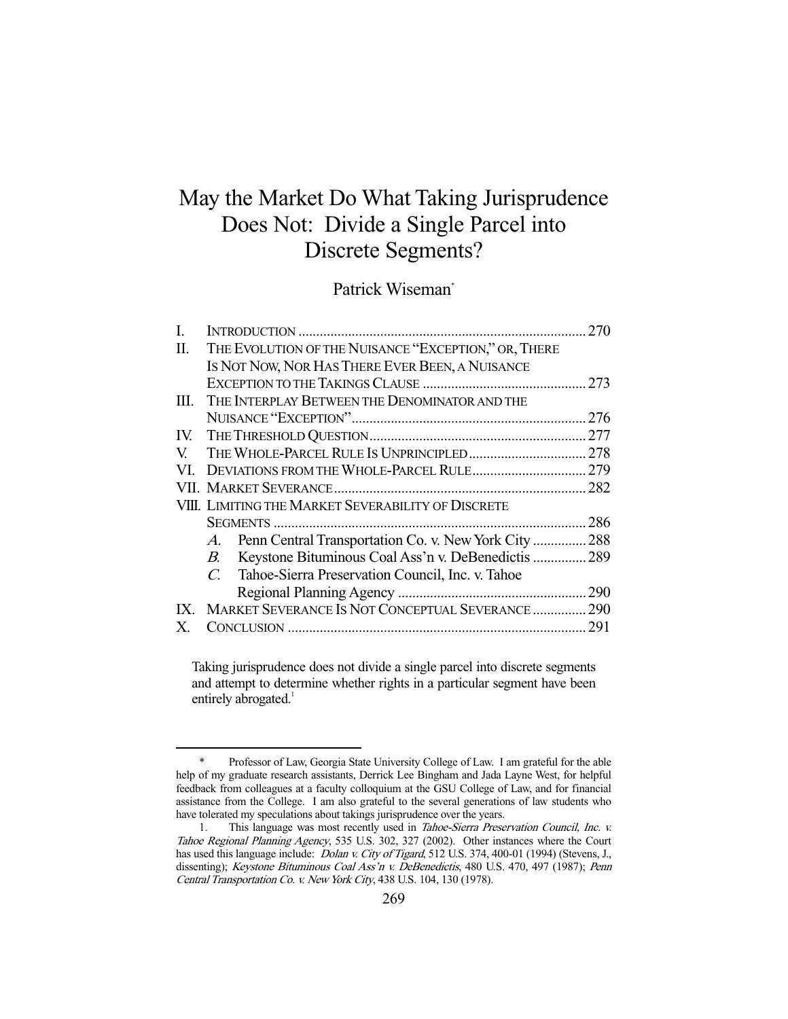# May the Market Do What Taking Jurisprudence Does Not: Divide a Single Parcel into Discrete Segments?

## Patrick Wiseman\*

| L    |                                                                      | 270 |
|------|----------------------------------------------------------------------|-----|
| П.   | THE EVOLUTION OF THE NUISANCE "EXCEPTION," OR, THERE                 |     |
|      | IS NOT NOW, NOR HAS THERE EVER BEEN, A NUISANCE                      |     |
|      |                                                                      |     |
| III. | THE INTERPLAY BETWEEN THE DENOMINATOR AND THE                        |     |
|      |                                                                      |     |
|      |                                                                      |     |
| V.   |                                                                      |     |
| VI.  |                                                                      |     |
|      |                                                                      |     |
|      | VIII. LIMITING THE MARKET SEVERABILITY OF DISCRETE                   |     |
|      |                                                                      | 286 |
|      | Penn Central Transportation Co. v. New York City  288<br>$A_{\cdot}$ |     |
|      | Keystone Bituminous Coal Ass'n v. DeBenedictis  289<br>В.            |     |
|      | C<br>Tahoe-Sierra Preservation Council, Inc. v. Tahoe                |     |
|      |                                                                      |     |
|      | IX. MARKET SEVERANCE IS NOT CONCEPTUAL SEVERANCE  290                |     |
|      |                                                                      | 291 |
|      |                                                                      |     |

Taking jurisprudence does not divide a single parcel into discrete segments and attempt to determine whether rights in a particular segment have been entirely abrogated.<sup>1</sup>

Professor of Law, Georgia State University College of Law. I am grateful for the able help of my graduate research assistants, Derrick Lee Bingham and Jada Layne West, for helpful feedback from colleagues at a faculty colloquium at the GSU College of Law, and for financial assistance from the College. I am also grateful to the several generations of law students who have tolerated my speculations about takings jurisprudence over the years.

<sup>1.</sup> This language was most recently used in *Tahoe-Sierra Preservation Council, Inc. v.* Tahoe Regional Planning Agency, 535 U.S. 302, 327 (2002). Other instances where the Court has used this language include: *Dolan v. City of Tigard*, 512 U.S. 374, 400-01 (1994) (Stevens, J., dissenting); Keystone Bituminous Coal Ass'n v. DeBenedictis, 480 U.S. 470, 497 (1987); Penn Central Transportation Co. v. New York City, 438 U.S. 104, 130 (1978).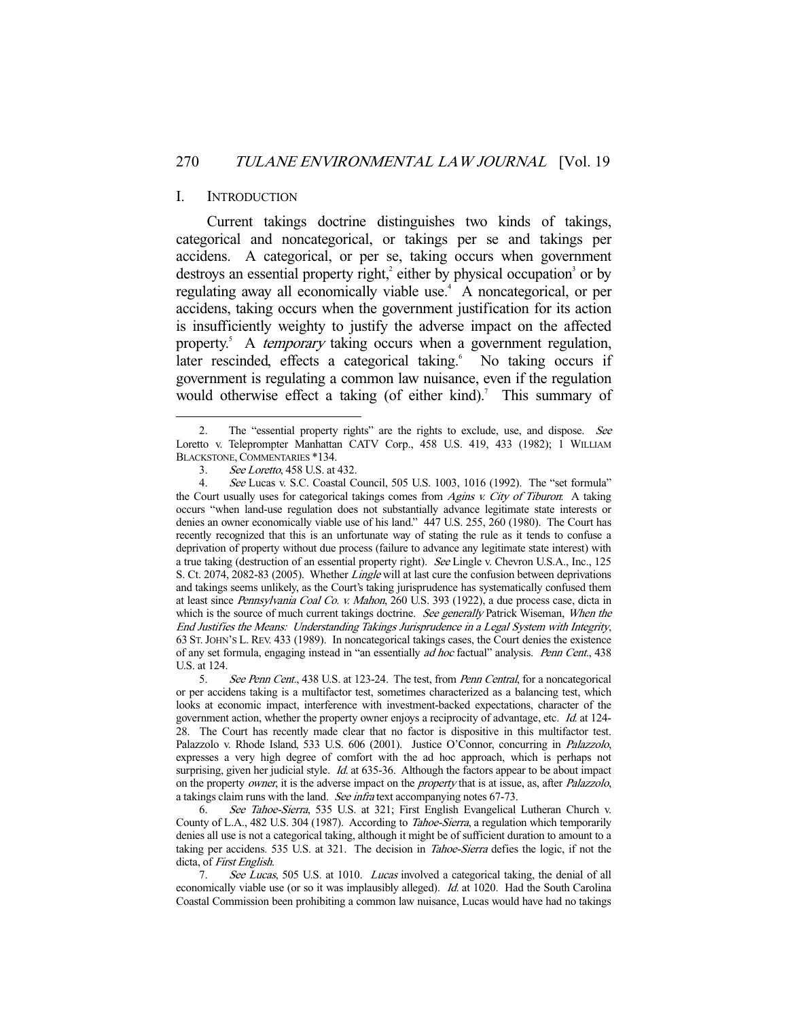## I. INTRODUCTION

-

 Current takings doctrine distinguishes two kinds of takings, categorical and noncategorical, or takings per se and takings per accidens. A categorical, or per se, taking occurs when government destroys an essential property right,<sup>2</sup> either by physical occupation<sup>3</sup> or by regulating away all economically viable use.<sup>4</sup> A noncategorical, or per accidens, taking occurs when the government justification for its action is insufficiently weighty to justify the adverse impact on the affected property.<sup>5</sup> A *temporary* taking occurs when a government regulation, later rescinded, effects a categorical taking.<sup>6</sup> No taking occurs if government is regulating a common law nuisance, even if the regulation would otherwise effect a taking (of either kind).<sup>7</sup> This summary of

<sup>2.</sup> The "essential property rights" are the rights to exclude, use, and dispose. See Loretto v. Teleprompter Manhattan CATV Corp., 458 U.S. 419, 433 (1982); 1 WILLIAM BLACKSTONE, COMMENTARIES \*134.

 <sup>3.</sup> See Loretto, 458 U.S. at 432.

 <sup>4.</sup> See Lucas v. S.C. Coastal Council, 505 U.S. 1003, 1016 (1992). The "set formula" the Court usually uses for categorical takings comes from Agins v. City of Tiburon. A taking occurs "when land-use regulation does not substantially advance legitimate state interests or denies an owner economically viable use of his land." 447 U.S. 255, 260 (1980). The Court has recently recognized that this is an unfortunate way of stating the rule as it tends to confuse a deprivation of property without due process (failure to advance any legitimate state interest) with a true taking (destruction of an essential property right). See Lingle v. Chevron U.S.A., Inc., 125 S. Ct. 2074, 2082-83 (2005). Whether *Lingle* will at last cure the confusion between deprivations and takings seems unlikely, as the Court's taking jurisprudence has systematically confused them at least since Pennsylvania Coal Co. v. Mahon, 260 U.S. 393 (1922), a due process case, dicta in which is the source of much current takings doctrine. See generally Patrick Wiseman, When the End Justifies the Means: Understanding Takings Jurisprudence in a Legal System with Integrity, 63 ST.JOHN'S L. REV. 433 (1989). In noncategorical takings cases, the Court denies the existence of any set formula, engaging instead in "an essentially ad hoc factual" analysis. Penn Cent., 438 U.S. at 124.

<sup>5.</sup> See Penn Cent., 438 U.S. at 123-24. The test, from Penn Central, for a noncategorical or per accidens taking is a multifactor test, sometimes characterized as a balancing test, which looks at economic impact, interference with investment-backed expectations, character of the government action, whether the property owner enjoys a reciprocity of advantage, etc. Id. at 124-28. The Court has recently made clear that no factor is dispositive in this multifactor test. Palazzolo v. Rhode Island, 533 U.S. 606 (2001). Justice O'Connor, concurring in *Palazzolo*, expresses a very high degree of comfort with the ad hoc approach, which is perhaps not surprising, given her judicial style. *Id.* at 635-36. Although the factors appear to be about impact on the property owner, it is the adverse impact on the *property* that is at issue, as, after *Palazzolo*, a takings claim runs with the land. *See infra* text accompanying notes 67-73.<br>6. See Tahoe-Sierra, 535 U.S. at 321; First English Evangelical

See Tahoe-Sierra, 535 U.S. at 321; First English Evangelical Lutheran Church v. County of L.A., 482 U.S. 304 (1987). According to Tahoe-Sierra, a regulation which temporarily denies all use is not a categorical taking, although it might be of sufficient duration to amount to a taking per accidens. 535 U.S. at 321. The decision in *Tahoe-Sierra* defies the logic, if not the dicta, of *First English*.

<sup>7.</sup> See Lucas, 505 U.S. at 1010. Lucas involved a categorical taking, the denial of all economically viable use (or so it was implausibly alleged). *Id.* at 1020. Had the South Carolina Coastal Commission been prohibiting a common law nuisance, Lucas would have had no takings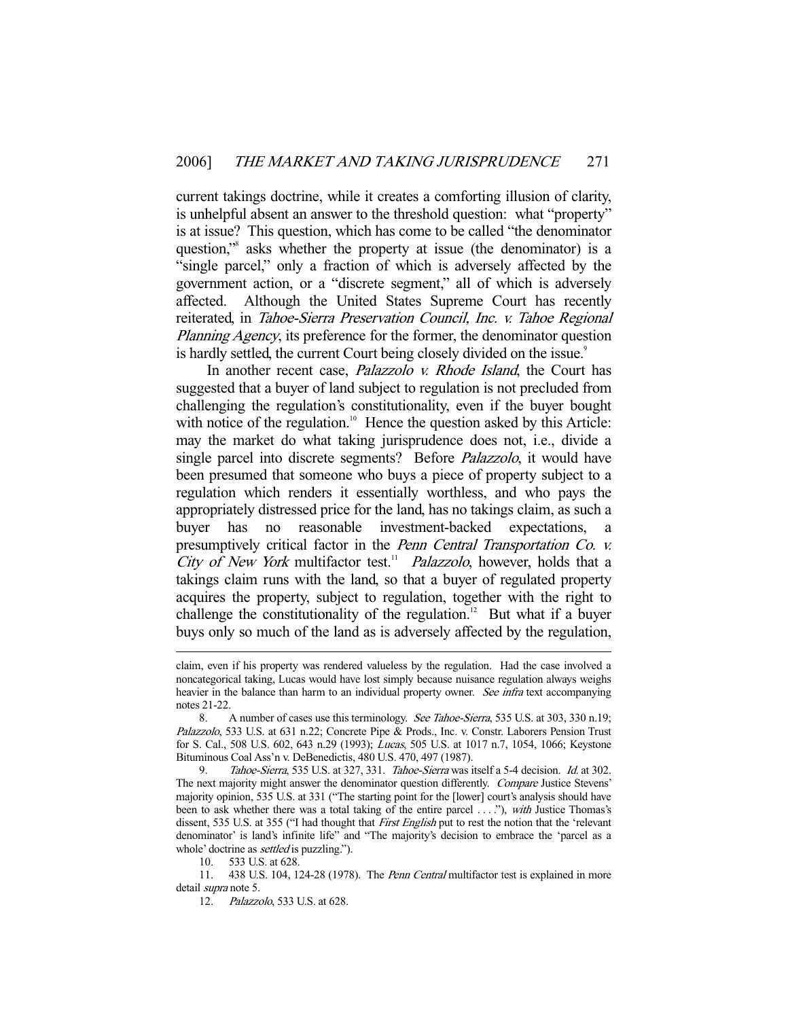current takings doctrine, while it creates a comforting illusion of clarity, is unhelpful absent an answer to the threshold question: what "property" is at issue? This question, which has come to be called "the denominator question,"8 asks whether the property at issue (the denominator) is a "single parcel," only a fraction of which is adversely affected by the government action, or a "discrete segment," all of which is adversely affected. Although the United States Supreme Court has recently reiterated, in Tahoe-Sierra Preservation Council, Inc. v. Tahoe Regional Planning Agency, its preference for the former, the denominator question is hardly settled, the current Court being closely divided on the issue.<sup>9</sup>

In another recent case, *Palazzolo v. Rhode Island*, the Court has suggested that a buyer of land subject to regulation is not precluded from challenging the regulation's constitutionality, even if the buyer bought with notice of the regulation.<sup>10</sup> Hence the question asked by this Article: may the market do what taking jurisprudence does not, i.e., divide a single parcel into discrete segments? Before *Palazzolo*, it would have been presumed that someone who buys a piece of property subject to a regulation which renders it essentially worthless, and who pays the appropriately distressed price for the land, has no takings claim, as such a buyer has no reasonable investment-backed expectations, a presumptively critical factor in the Penn Central Transportation Co. v. City of New York multifactor test.<sup>11</sup> Palazzolo, however, holds that a takings claim runs with the land, so that a buyer of regulated property acquires the property, subject to regulation, together with the right to challenge the constitutionality of the regulation.<sup>12</sup> But what if a buyer buys only so much of the land as is adversely affected by the regulation,

claim, even if his property was rendered valueless by the regulation. Had the case involved a noncategorical taking, Lucas would have lost simply because nuisance regulation always weighs heavier in the balance than harm to an individual property owner. See infra text accompanying notes 21-22.

<sup>8.</sup> A number of cases use this terminology. See Tahoe-Sierra, 535 U.S. at 303, 330 n.19; Palazzolo, 533 U.S. at 631 n.22; Concrete Pipe & Prods., Inc. v. Constr. Laborers Pension Trust for S. Cal., 508 U.S. 602, 643 n.29 (1993); Lucas, 505 U.S. at 1017 n.7, 1054, 1066; Keystone Bituminous Coal Ass'n v. DeBenedictis, 480 U.S. 470, 497 (1987).

<sup>9.</sup> Tahoe-Sierra, 535 U.S. at 327, 331. Tahoe-Sierra was itself a 5-4 decision. Id. at 302. The next majority might answer the denominator question differently. Compare Justice Stevens' majority opinion, 535 U.S. at 331 ("The starting point for the [lower] court's analysis should have been to ask whether there was a total taking of the entire parcel ...."), with Justice Thomas's dissent, 535 U.S. at 355 ("I had thought that *First English* put to rest the notion that the 'relevant denominator' is land's infinite life" and "The majority's decision to embrace the 'parcel as a whole' doctrine as *settled* is puzzling.").

 <sup>10. 533</sup> U.S. at 628.

<sup>11. 438</sup> U.S. 104, 124-28 (1978). The *Penn Central* multifactor test is explained in more detail *supra* note 5.

 <sup>12.</sup> Palazzolo, 533 U.S. at 628.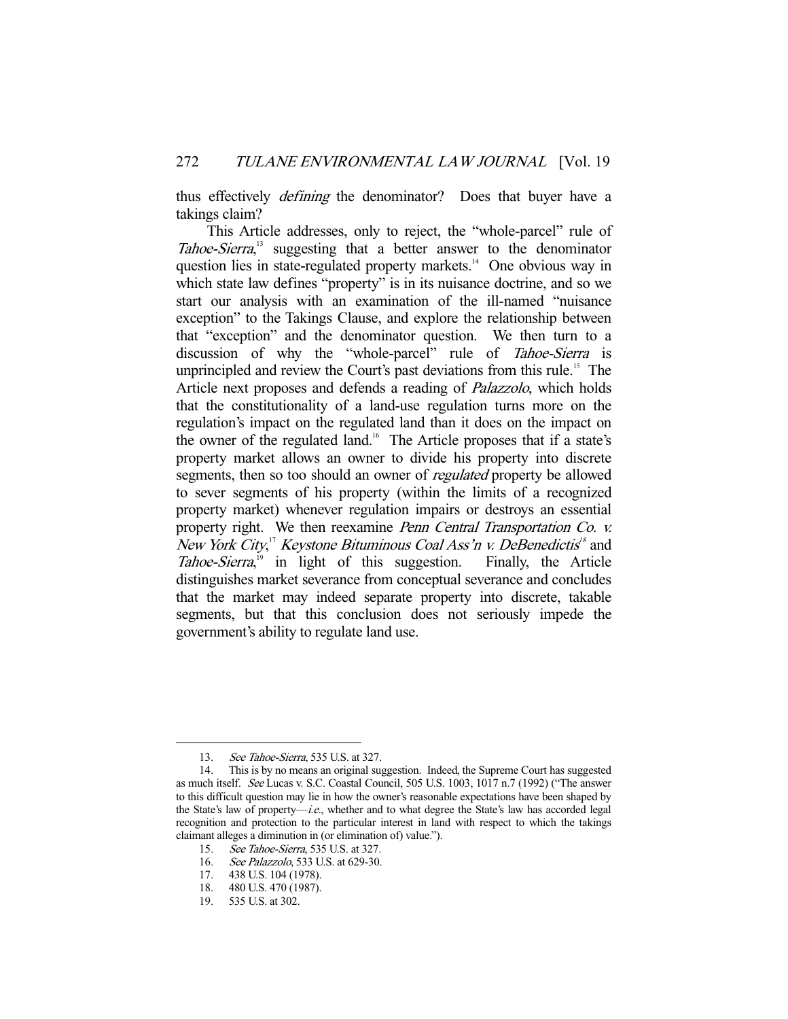thus effectively *defining* the denominator? Does that buyer have a takings claim?

 This Article addresses, only to reject, the "whole-parcel" rule of Tahoe-Sierra,<sup>13</sup> suggesting that a better answer to the denominator question lies in state-regulated property markets.<sup>14</sup> One obvious way in which state law defines "property" is in its nuisance doctrine, and so we start our analysis with an examination of the ill-named "nuisance exception" to the Takings Clause, and explore the relationship between that "exception" and the denominator question. We then turn to a discussion of why the "whole-parcel" rule of Tahoe-Sierra is unprincipled and review the Court's past deviations from this rule.<sup>15</sup> The Article next proposes and defends a reading of Palazzolo, which holds that the constitutionality of a land-use regulation turns more on the regulation's impact on the regulated land than it does on the impact on the owner of the regulated land.<sup>16</sup> The Article proposes that if a state's property market allows an owner to divide his property into discrete segments, then so too should an owner of *regulated* property be allowed to sever segments of his property (within the limits of a recognized property market) whenever regulation impairs or destroys an essential property right. We then reexamine Penn Central Transportation Co. v. New York City,<sup>17</sup> Keystone Bituminous Coal Ass'n v. DeBenedictis<sup>18</sup> and Tahoe-Sierra,<sup>19</sup> in light of this suggestion. Finally, the Article distinguishes market severance from conceptual severance and concludes that the market may indeed separate property into discrete, takable segments, but that this conclusion does not seriously impede the government's ability to regulate land use.

<sup>13.</sup> See Tahoe-Sierra, 535 U.S. at 327.

 <sup>14.</sup> This is by no means an original suggestion. Indeed, the Supreme Court has suggested as much itself. See Lucas v. S.C. Coastal Council, 505 U.S. 1003, 1017 n.7 (1992) ("The answer to this difficult question may lie in how the owner's reasonable expectations have been shaped by the State's law of property-i.e., whether and to what degree the State's law has accorded legal recognition and protection to the particular interest in land with respect to which the takings claimant alleges a diminution in (or elimination of) value.").

 <sup>15.</sup> See Tahoe-Sierra, 535 U.S. at 327.

 <sup>16.</sup> See Palazzolo, 533 U.S. at 629-30.

 <sup>17. 438</sup> U.S. 104 (1978).

 <sup>18. 480</sup> U.S. 470 (1987).

 <sup>19. 535</sup> U.S. at 302.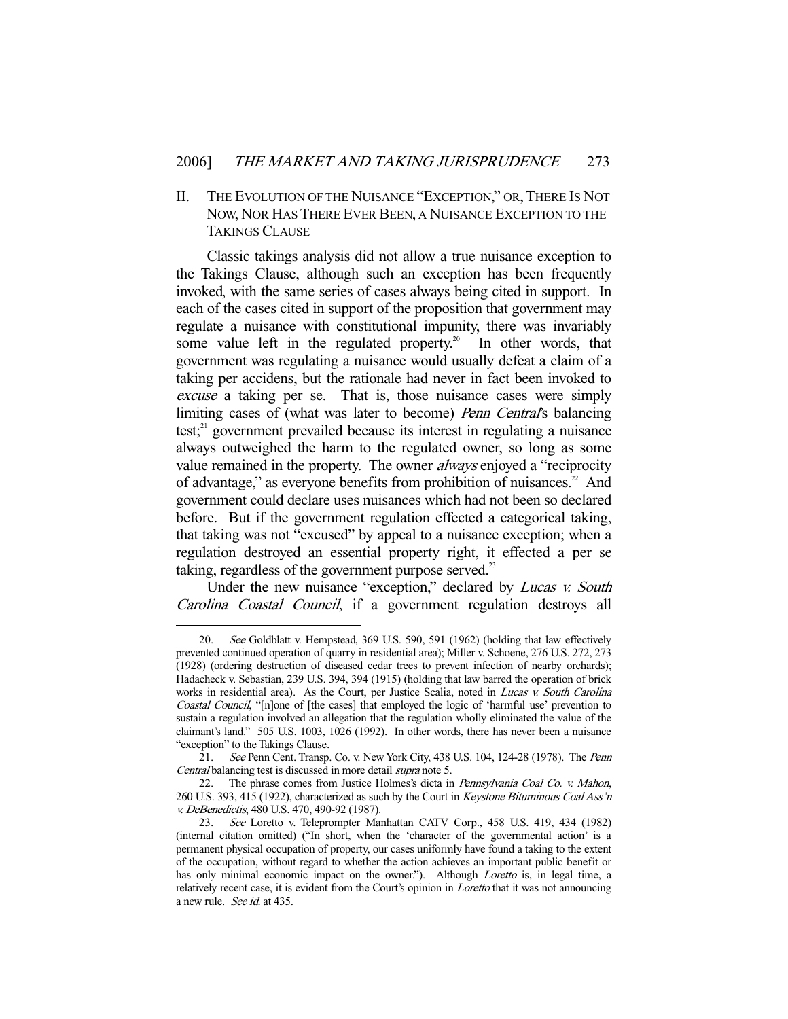II. THE EVOLUTION OF THE NUISANCE "EXCEPTION," OR,THERE IS NOT NOW, NOR HAS THERE EVER BEEN, A NUISANCE EXCEPTION TO THE TAKINGS CLAUSE

 Classic takings analysis did not allow a true nuisance exception to the Takings Clause, although such an exception has been frequently invoked, with the same series of cases always being cited in support. In each of the cases cited in support of the proposition that government may regulate a nuisance with constitutional impunity, there was invariably some value left in the regulated property.<sup>20</sup> In other words, that government was regulating a nuisance would usually defeat a claim of a taking per accidens, but the rationale had never in fact been invoked to excuse a taking per se. That is, those nuisance cases were simply limiting cases of (what was later to become) *Penn Central's* balancing test; $^{21}$  government prevailed because its interest in regulating a nuisance always outweighed the harm to the regulated owner, so long as some value remained in the property. The owner always enjoyed a "reciprocity of advantage," as everyone benefits from prohibition of nuisances.<sup>22</sup> And government could declare uses nuisances which had not been so declared before. But if the government regulation effected a categorical taking, that taking was not "excused" by appeal to a nuisance exception; when a regulation destroyed an essential property right, it effected a per se taking, regardless of the government purpose served.<sup>23</sup>

Under the new nuisance "exception," declared by *Lucas v. South* Carolina Coastal Council, if a government regulation destroys all

 <sup>20.</sup> See Goldblatt v. Hempstead, 369 U.S. 590, 591 (1962) (holding that law effectively prevented continued operation of quarry in residential area); Miller v. Schoene, 276 U.S. 272, 273 (1928) (ordering destruction of diseased cedar trees to prevent infection of nearby orchards); Hadacheck v. Sebastian, 239 U.S. 394, 394 (1915) (holding that law barred the operation of brick works in residential area). As the Court, per Justice Scalia, noted in Lucas v. South Carolina Coastal Council, "[n]one of [the cases] that employed the logic of 'harmful use' prevention to sustain a regulation involved an allegation that the regulation wholly eliminated the value of the claimant's land." 505 U.S. 1003, 1026 (1992). In other words, there has never been a nuisance "exception" to the Takings Clause.

 <sup>21.</sup> See Penn Cent. Transp. Co. v. New York City, 438 U.S. 104, 124-28 (1978). The Penn Central balancing test is discussed in more detail supra note 5.

<sup>22.</sup> The phrase comes from Justice Holmes's dicta in Pennsylvania Coal Co. v. Mahon, 260 U.S. 393, 415 (1922), characterized as such by the Court in Keystone Bituminous Coal Ass'n v. DeBenedictis, 480 U.S. 470, 490-92 (1987).

<sup>23.</sup> See Loretto v. Teleprompter Manhattan CATV Corp., 458 U.S. 419, 434 (1982) (internal citation omitted) ("In short, when the 'character of the governmental action' is a permanent physical occupation of property, our cases uniformly have found a taking to the extent of the occupation, without regard to whether the action achieves an important public benefit or has only minimal economic impact on the owner."). Although Loretto is, in legal time, a relatively recent case, it is evident from the Court's opinion in *Loretto* that it was not announcing a new rule. See id. at 435.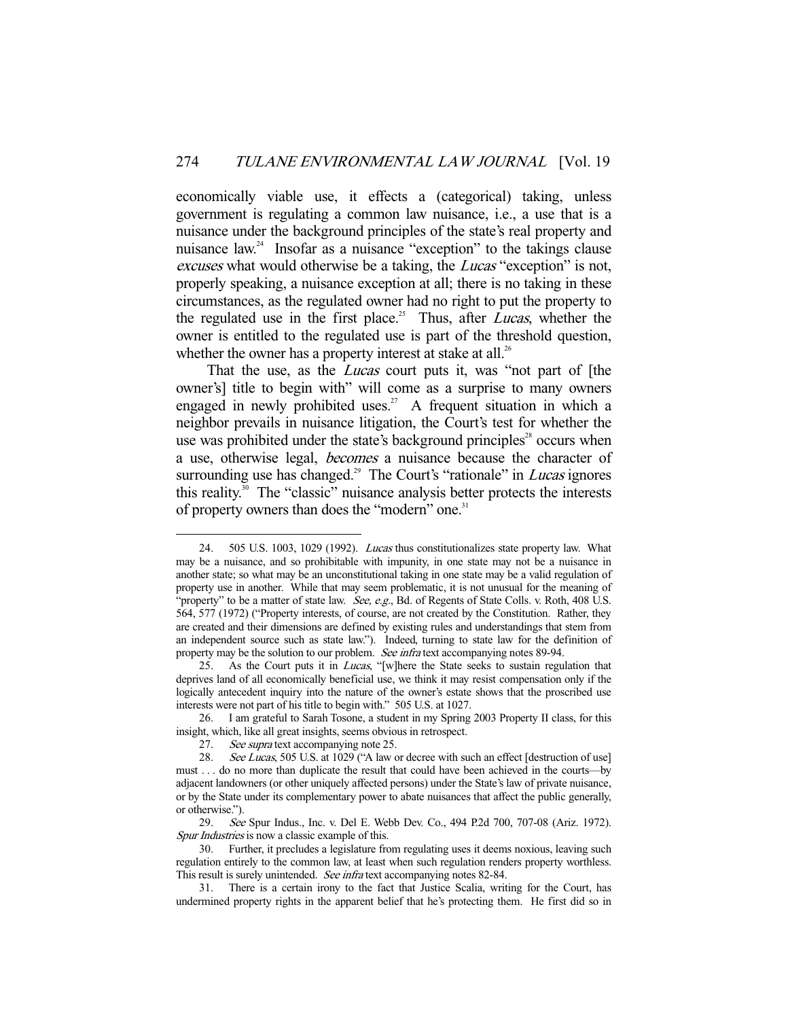economically viable use, it effects a (categorical) taking, unless government is regulating a common law nuisance, i.e., a use that is a nuisance under the background principles of the state's real property and nuisance  $law<sup>24</sup>$  Insofar as a nuisance "exception" to the takings clause excuses what would otherwise be a taking, the *Lucas* "exception" is not, properly speaking, a nuisance exception at all; there is no taking in these circumstances, as the regulated owner had no right to put the property to the regulated use in the first place.<sup>25</sup> Thus, after *Lucas*, whether the owner is entitled to the regulated use is part of the threshold question, whether the owner has a property interest at stake at all.<sup>26</sup>

That the use, as the *Lucas* court puts it, was "not part of [the owner's] title to begin with" will come as a surprise to many owners engaged in newly prohibited uses.<sup>27</sup> A frequent situation in which a neighbor prevails in nuisance litigation, the Court's test for whether the use was prohibited under the state's background principles<sup>28</sup> occurs when a use, otherwise legal, becomes a nuisance because the character of surrounding use has changed.<sup>29</sup> The Court's "rationale" in *Lucas* ignores this reality.30 The "classic" nuisance analysis better protects the interests of property owners than does the "modern" one.<sup>31</sup>

 <sup>24. 505</sup> U.S. 1003, 1029 (1992). Lucas thus constitutionalizes state property law. What may be a nuisance, and so prohibitable with impunity, in one state may not be a nuisance in another state; so what may be an unconstitutional taking in one state may be a valid regulation of property use in another. While that may seem problematic, it is not unusual for the meaning of "property" to be a matter of state law. See, e.g., Bd. of Regents of State Colls. v. Roth, 408 U.S. 564, 577 (1972) ("Property interests, of course, are not created by the Constitution. Rather, they are created and their dimensions are defined by existing rules and understandings that stem from an independent source such as state law."). Indeed, turning to state law for the definition of property may be the solution to our problem. See infratext accompanying notes 89-94.

<sup>25.</sup> As the Court puts it in *Lucas*, "[w]here the State seeks to sustain regulation that deprives land of all economically beneficial use, we think it may resist compensation only if the logically antecedent inquiry into the nature of the owner's estate shows that the proscribed use interests were not part of his title to begin with." 505 U.S. at 1027.

 <sup>26.</sup> I am grateful to Sarah Tosone, a student in my Spring 2003 Property II class, for this insight, which, like all great insights, seems obvious in retrospect.

<sup>27.</sup> See supra text accompanying note 25.

<sup>28.</sup> See Lucas, 505 U.S. at 1029 ("A law or decree with such an effect [destruction of use] must . . . do no more than duplicate the result that could have been achieved in the courts—by adjacent landowners (or other uniquely affected persons) under the State's law of private nuisance, or by the State under its complementary power to abate nuisances that affect the public generally, or otherwise.").

 <sup>29.</sup> See Spur Indus., Inc. v. Del E. Webb Dev. Co., 494 P.2d 700, 707-08 (Ariz. 1972). Spur Industries is now a classic example of this.

 <sup>30.</sup> Further, it precludes a legislature from regulating uses it deems noxious, leaving such regulation entirely to the common law, at least when such regulation renders property worthless. This result is surely unintended. See infratext accompanying notes 82-84.

 <sup>31.</sup> There is a certain irony to the fact that Justice Scalia, writing for the Court, has undermined property rights in the apparent belief that he's protecting them. He first did so in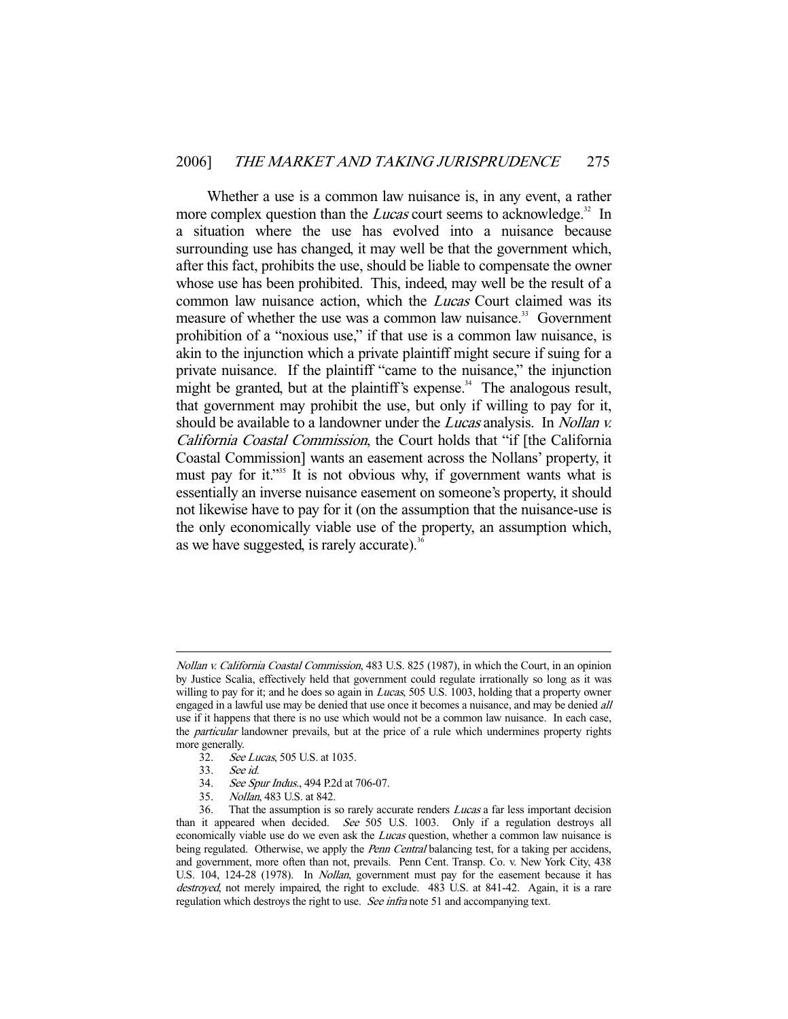Whether a use is a common law nuisance is, in any event, a rather more complex question than the *Lucas* court seems to acknowledge.<sup>32</sup> In a situation where the use has evolved into a nuisance because surrounding use has changed, it may well be that the government which, after this fact, prohibits the use, should be liable to compensate the owner whose use has been prohibited. This, indeed, may well be the result of a common law nuisance action, which the Lucas Court claimed was its measure of whether the use was a common law nuisance.<sup>33</sup> Government prohibition of a "noxious use," if that use is a common law nuisance, is akin to the injunction which a private plaintiff might secure if suing for a private nuisance. If the plaintiff "came to the nuisance," the injunction might be granted, but at the plaintiff's expense.<sup>34</sup> The analogous result, that government may prohibit the use, but only if willing to pay for it, should be available to a landowner under the *Lucas* analysis. In *Nollan v.* California Coastal Commission, the Court holds that "if [the California Coastal Commission] wants an easement across the Nollans' property, it must pay for it."<sup>35</sup> It is not obvious why, if government wants what is essentially an inverse nuisance easement on someone's property, it should not likewise have to pay for it (on the assumption that the nuisance-use is the only economically viable use of the property, an assumption which, as we have suggested, is rarely accurate).<sup>36</sup>

Nollan v. California Coastal Commission, 483 U.S. 825 (1987), in which the Court, in an opinion by Justice Scalia, effectively held that government could regulate irrationally so long as it was willing to pay for it; and he does so again in *Lucas*, 505 U.S. 1003, holding that a property owner engaged in a lawful use may be denied that use once it becomes a nuisance, and may be denied *all* use if it happens that there is no use which would not be a common law nuisance. In each case, the *particular* landowner prevails, but at the price of a rule which undermines property rights more generally.<br>32. See

See Lucas, 505 U.S. at 1035.

 <sup>33.</sup> See id.

 <sup>34.</sup> See Spur Indus., 494 P.2d at 706-07.

 <sup>35.</sup> Nollan, 483 U.S. at 842.

 <sup>36.</sup> That the assumption is so rarely accurate renders Lucas a far less important decision than it appeared when decided. See 505 U.S. 1003. Only if a regulation destroys all economically viable use do we even ask the *Lucas* question, whether a common law nuisance is being regulated. Otherwise, we apply the *Penn Central* balancing test, for a taking per accidens, and government, more often than not, prevails. Penn Cent. Transp. Co. v. New York City, 438 U.S. 104, 124-28 (1978). In Nollan, government must pay for the easement because it has destroyed, not merely impaired, the right to exclude. 483 U.S. at 841-42. Again, it is a rare regulation which destroys the right to use. See infra note 51 and accompanying text.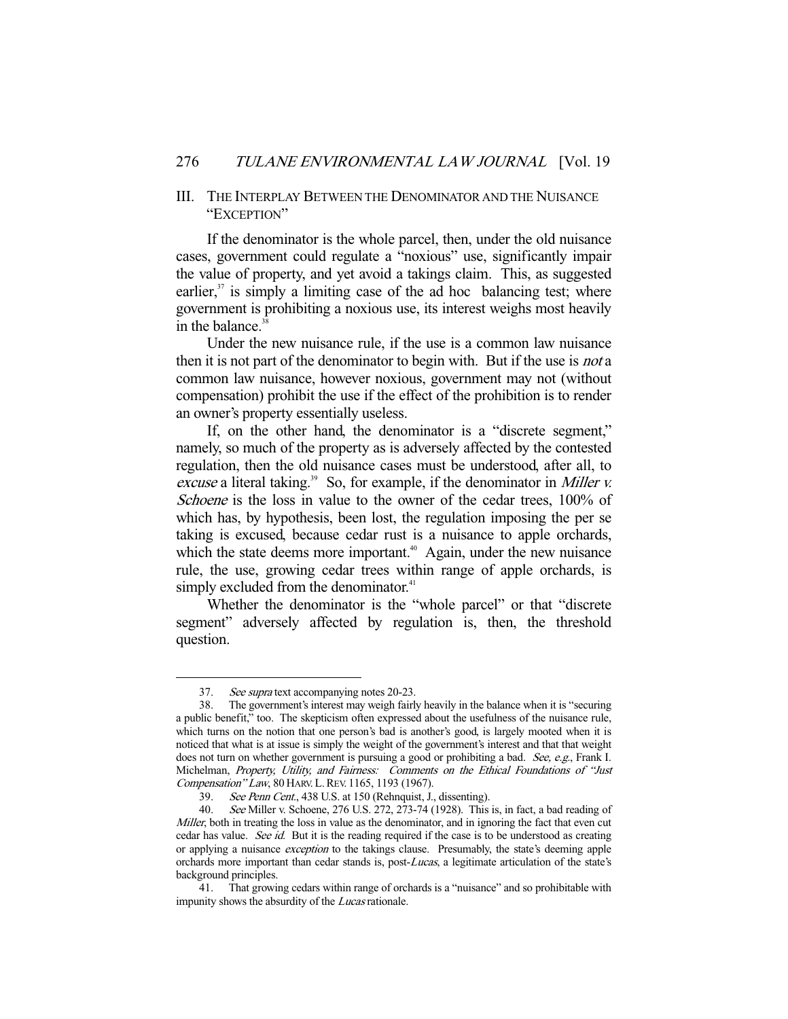## III. THE INTERPLAY BETWEEN THE DENOMINATOR AND THE NUISANCE "EXCEPTION"

 If the denominator is the whole parcel, then, under the old nuisance cases, government could regulate a "noxious" use, significantly impair the value of property, and yet avoid a takings claim. This, as suggested earlier, $37$  is simply a limiting case of the ad hoc balancing test; where government is prohibiting a noxious use, its interest weighs most heavily in the balance.<sup>38</sup>

 Under the new nuisance rule, if the use is a common law nuisance then it is not part of the denominator to begin with. But if the use is *not* a common law nuisance, however noxious, government may not (without compensation) prohibit the use if the effect of the prohibition is to render an owner's property essentially useless.

 If, on the other hand, the denominator is a "discrete segment," namely, so much of the property as is adversely affected by the contested regulation, then the old nuisance cases must be understood, after all, to excuse a literal taking.<sup>39</sup> So, for example, if the denominator in *Miller v.* Schoene is the loss in value to the owner of the cedar trees, 100% of which has, by hypothesis, been lost, the regulation imposing the per se taking is excused, because cedar rust is a nuisance to apple orchards, which the state deems more important.<sup> $40$ </sup> Again, under the new nuisance rule, the use, growing cedar trees within range of apple orchards, is simply excluded from the denominator.<sup>41</sup>

 Whether the denominator is the "whole parcel" or that "discrete segment" adversely affected by regulation is, then, the threshold question.

<sup>37.</sup> See supra text accompanying notes 20-23.

 <sup>38.</sup> The government's interest may weigh fairly heavily in the balance when it is "securing a public benefit," too. The skepticism often expressed about the usefulness of the nuisance rule, which turns on the notion that one person's bad is another's good, is largely mooted when it is noticed that what is at issue is simply the weight of the government's interest and that that weight does not turn on whether government is pursuing a good or prohibiting a bad. See, e.g., Frank I. Michelman, Property, Utility, and Fairness: Comments on the Ethical Foundations of "Just Compensation" Law, 80 HARV. L. REV. 1165, 1193 (1967).

<sup>39.</sup> See Penn Cent., 438 U.S. at 150 (Rehnquist, J., dissenting).

 <sup>40.</sup> See Miller v. Schoene, 276 U.S. 272, 273-74 (1928). This is, in fact, a bad reading of Miller, both in treating the loss in value as the denominator, and in ignoring the fact that even cut cedar has value. See id. But it is the reading required if the case is to be understood as creating or applying a nuisance *exception* to the takings clause. Presumably, the state's deeming apple orchards more important than cedar stands is, post-Lucas, a legitimate articulation of the state's background principles.

 <sup>41.</sup> That growing cedars within range of orchards is a "nuisance" and so prohibitable with impunity shows the absurdity of the *Lucas* rationale.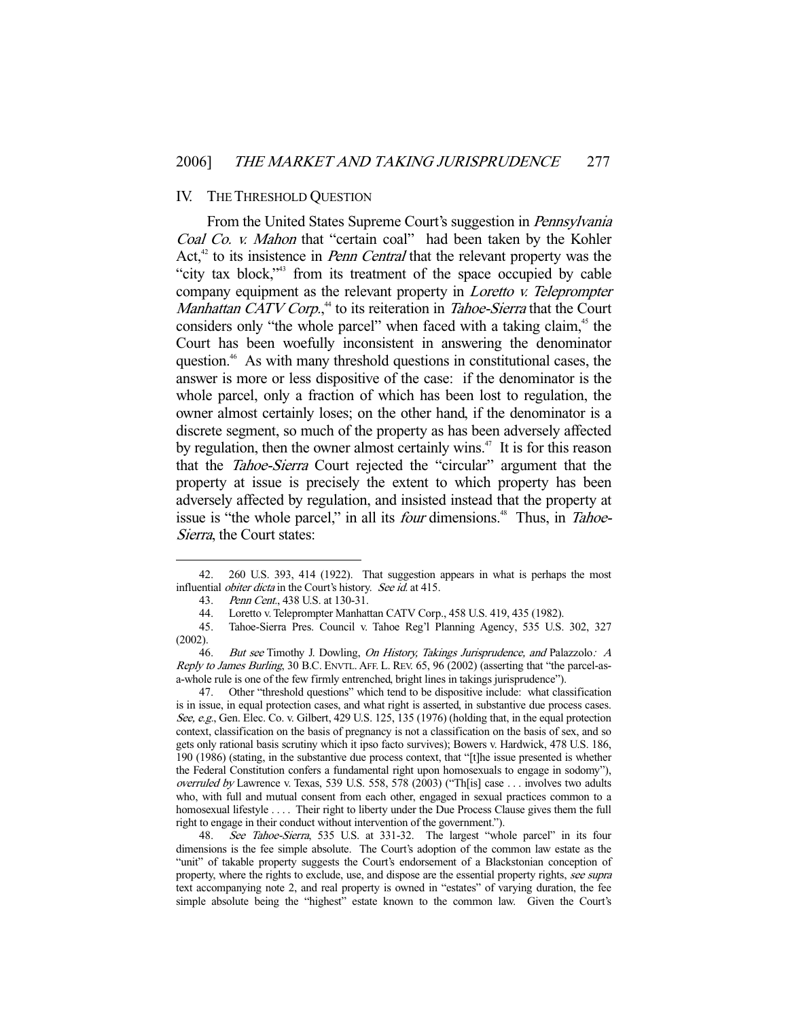## IV. THE THRESHOLD QUESTION

From the United States Supreme Court's suggestion in *Pennsylvania* Coal Co. v. Mahon that "certain coal" had been taken by the Kohler Act, $42$  to its insistence in *Penn Central* that the relevant property was the "city tax block,"43 from its treatment of the space occupied by cable company equipment as the relevant property in Loretto v. Teleprompter Manhattan CATV Corp.,<sup>44</sup> to its reiteration in Tahoe-Sierra that the Court considers only "the whole parcel" when faced with a taking claim,<sup>45</sup> the Court has been woefully inconsistent in answering the denominator question.<sup>46</sup> As with many threshold questions in constitutional cases, the answer is more or less dispositive of the case: if the denominator is the whole parcel, only a fraction of which has been lost to regulation, the owner almost certainly loses; on the other hand, if the denominator is a discrete segment, so much of the property as has been adversely affected by regulation, then the owner almost certainly wins.<sup>47</sup> It is for this reason that the Tahoe-Sierra Court rejected the "circular" argument that the property at issue is precisely the extent to which property has been adversely affected by regulation, and insisted instead that the property at issue is "the whole parcel," in all its *four* dimensions.<sup>48</sup> Thus, in *Tahoe-*Sierra, the Court states:

 <sup>42. 260</sup> U.S. 393, 414 (1922). That suggestion appears in what is perhaps the most influential *obiter dicta* in the Court's history. See id. at 415.

 <sup>43.</sup> Penn Cent., 438 U.S. at 130-31.

 <sup>44.</sup> Loretto v. Teleprompter Manhattan CATV Corp., 458 U.S. 419, 435 (1982).

 <sup>45.</sup> Tahoe-Sierra Pres. Council v. Tahoe Reg'l Planning Agency, 535 U.S. 302, 327 (2002).

<sup>46.</sup> But see Timothy J. Dowling, On History, Takings Jurisprudence, and Palazzolo: A Reply to James Burling, 30 B.C. ENVTL. AFF. L. REV. 65, 96 (2002) (asserting that "the parcel-asa-whole rule is one of the few firmly entrenched, bright lines in takings jurisprudence").<br>47. Other "threshold questions" which tend to be dispositive include: what clas

 <sup>47.</sup> Other "threshold questions" which tend to be dispositive include: what classification is in issue, in equal protection cases, and what right is asserted, in substantive due process cases. See, e.g., Gen. Elec. Co. v. Gilbert, 429 U.S. 125, 135 (1976) (holding that, in the equal protection context, classification on the basis of pregnancy is not a classification on the basis of sex, and so gets only rational basis scrutiny which it ipso facto survives); Bowers v. Hardwick, 478 U.S. 186, 190 (1986) (stating, in the substantive due process context, that "[t]he issue presented is whether the Federal Constitution confers a fundamental right upon homosexuals to engage in sodomy"), overruled by Lawrence v. Texas, 539 U.S. 558, 578 (2003) ("Th[is] case . . . involves two adults who, with full and mutual consent from each other, engaged in sexual practices common to a homosexual lifestyle . . . . Their right to liberty under the Due Process Clause gives them the full right to engage in their conduct without intervention of the government.").

 <sup>48.</sup> See Tahoe-Sierra, 535 U.S. at 331-32. The largest "whole parcel" in its four dimensions is the fee simple absolute. The Court's adoption of the common law estate as the "unit" of takable property suggests the Court's endorsement of a Blackstonian conception of property, where the rights to exclude, use, and dispose are the essential property rights, see supra text accompanying note 2, and real property is owned in "estates" of varying duration, the fee simple absolute being the "highest" estate known to the common law. Given the Court's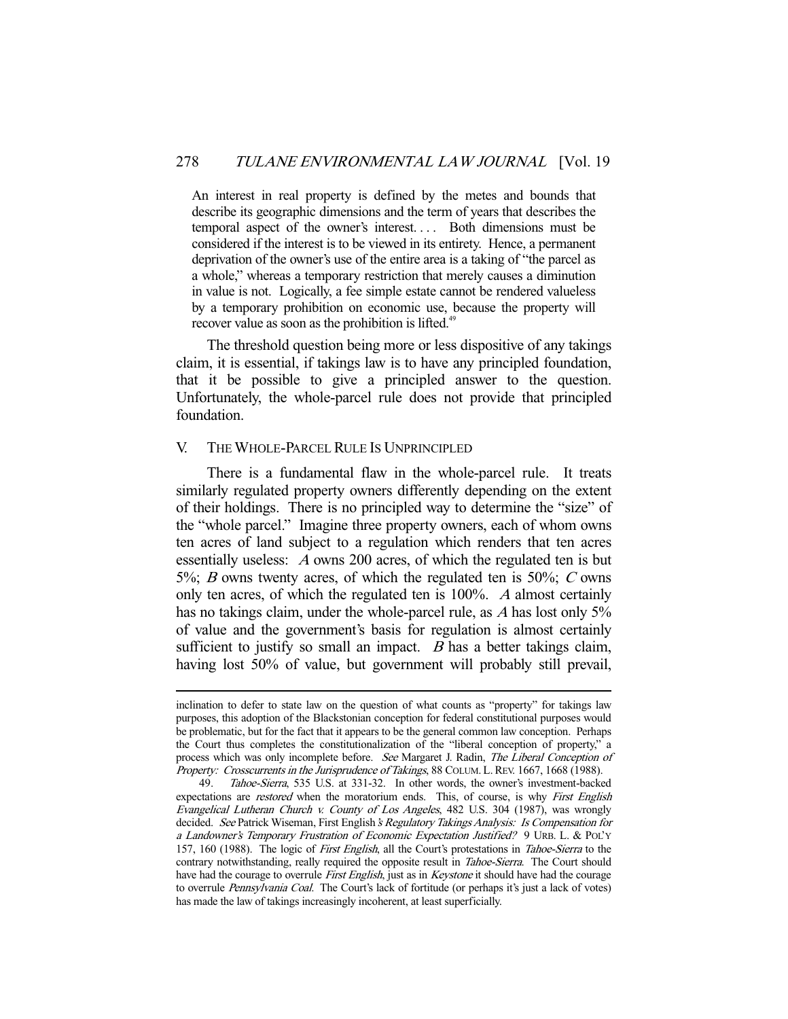An interest in real property is defined by the metes and bounds that describe its geographic dimensions and the term of years that describes the temporal aspect of the owner's interest. . . . Both dimensions must be considered if the interest is to be viewed in its entirety. Hence, a permanent deprivation of the owner's use of the entire area is a taking of "the parcel as a whole," whereas a temporary restriction that merely causes a diminution in value is not. Logically, a fee simple estate cannot be rendered valueless by a temporary prohibition on economic use, because the property will recover value as soon as the prohibition is lifted.<sup>49</sup>

 The threshold question being more or less dispositive of any takings claim, it is essential, if takings law is to have any principled foundation, that it be possible to give a principled answer to the question. Unfortunately, the whole-parcel rule does not provide that principled foundation.

## V. THE WHOLE-PARCEL RULE IS UNPRINCIPLED

-

 There is a fundamental flaw in the whole-parcel rule. It treats similarly regulated property owners differently depending on the extent of their holdings. There is no principled way to determine the "size" of the "whole parcel." Imagine three property owners, each of whom owns ten acres of land subject to a regulation which renders that ten acres essentially useless: A owns 200 acres, of which the regulated ten is but 5%; B owns twenty acres, of which the regulated ten is 50%; C owns only ten acres, of which the regulated ten is 100%. A almost certainly has no takings claim, under the whole-parcel rule, as A has lost only 5% of value and the government's basis for regulation is almost certainly sufficient to justify so small an impact.  $B$  has a better takings claim, having lost 50% of value, but government will probably still prevail,

inclination to defer to state law on the question of what counts as "property" for takings law purposes, this adoption of the Blackstonian conception for federal constitutional purposes would be problematic, but for the fact that it appears to be the general common law conception. Perhaps the Court thus completes the constitutionalization of the "liberal conception of property," a process which was only incomplete before. See Margaret J. Radin, The Liberal Conception of Property: Crosscurrents in the Jurisprudence of Takings, 88 COLUM. L. REV. 1667, 1668 (1988).

 <sup>49.</sup> Tahoe-Sierra, 535 U.S. at 331-32. In other words, the owner's investment-backed expectations are *restored* when the moratorium ends. This, of course, is why First English Evangelical Lutheran Church v. County of Los Angeles, 482 U.S. 304 (1987), was wrongly decided. See Patrick Wiseman, First English's Regulatory Takings Analysis: Is Compensation for a Landowner's Temporary Frustration of Economic Expectation Justified? 9 URB. L. & POL'Y 157, 160 (1988). The logic of First English, all the Court's protestations in Tahoe-Sierra to the contrary notwithstanding, really required the opposite result in *Tahoe-Sierra*. The Court should have had the courage to overrule First English, just as in Keystone it should have had the courage to overrule Pennsylvania Coal. The Court's lack of fortitude (or perhaps it's just a lack of votes) has made the law of takings increasingly incoherent, at least superficially.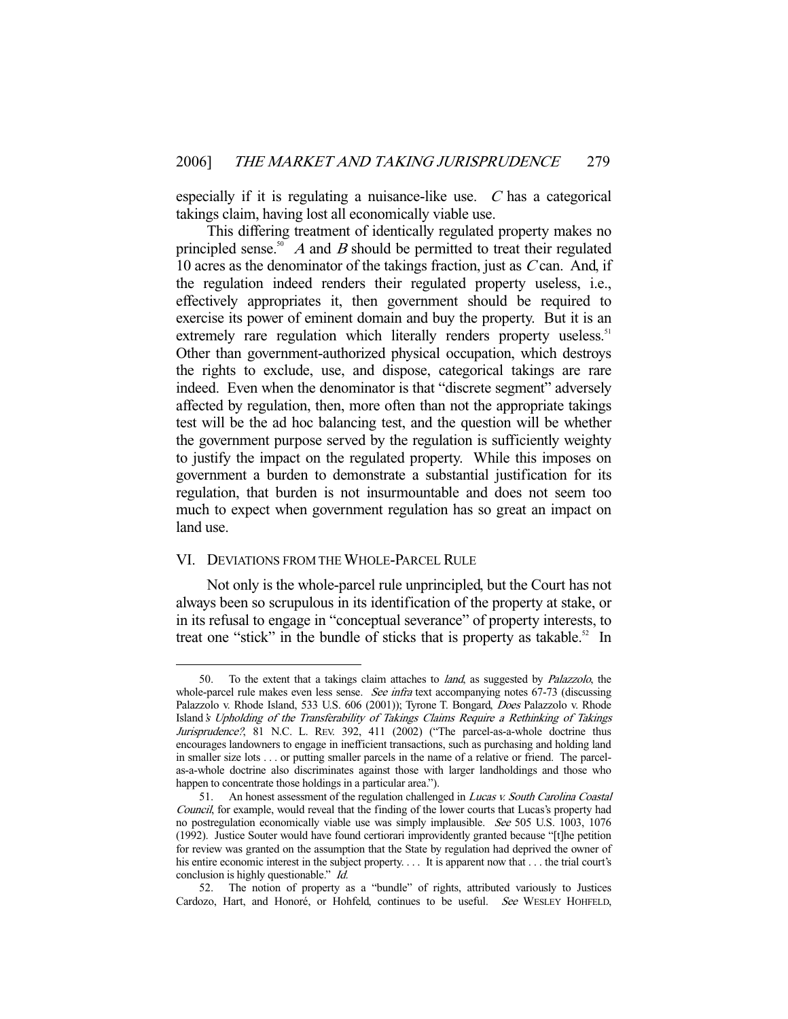especially if it is regulating a nuisance-like use.  $C$  has a categorical takings claim, having lost all economically viable use.

 This differing treatment of identically regulated property makes no principled sense.<sup>50</sup> A and B should be permitted to treat their regulated 10 acres as the denominator of the takings fraction, just as C can. And, if the regulation indeed renders their regulated property useless, i.e., effectively appropriates it, then government should be required to exercise its power of eminent domain and buy the property. But it is an extremely rare regulation which literally renders property useless.<sup>51</sup> Other than government-authorized physical occupation, which destroys the rights to exclude, use, and dispose, categorical takings are rare indeed. Even when the denominator is that "discrete segment" adversely affected by regulation, then, more often than not the appropriate takings test will be the ad hoc balancing test, and the question will be whether the government purpose served by the regulation is sufficiently weighty to justify the impact on the regulated property. While this imposes on government a burden to demonstrate a substantial justification for its regulation, that burden is not insurmountable and does not seem too much to expect when government regulation has so great an impact on land use.

## VI. DEVIATIONS FROM THE WHOLE-PARCEL RULE

-

 Not only is the whole-parcel rule unprincipled, but the Court has not always been so scrupulous in its identification of the property at stake, or in its refusal to engage in "conceptual severance" of property interests, to treat one "stick" in the bundle of sticks that is property as takable. $52$  In

 <sup>50.</sup> To the extent that a takings claim attaches to land, as suggested by Palazzolo, the whole-parcel rule makes even less sense. See infra text accompanying notes 67-73 (discussing Palazzolo v. Rhode Island, 533 U.S. 606 (2001)); Tyrone T. Bongard, Does Palazzolo v. Rhode Island's Upholding of the Transferability of Takings Claims Require a Rethinking of Takings Jurisprudence?, 81 N.C. L. REV. 392, 411 (2002) ("The parcel-as-a-whole doctrine thus encourages landowners to engage in inefficient transactions, such as purchasing and holding land in smaller size lots . . . or putting smaller parcels in the name of a relative or friend. The parcelas-a-whole doctrine also discriminates against those with larger landholdings and those who happen to concentrate those holdings in a particular area.").

<sup>51.</sup> An honest assessment of the regulation challenged in *Lucas v. South Carolina Coastal* Council, for example, would reveal that the finding of the lower courts that Lucas's property had no postregulation economically viable use was simply implausible. See 505 U.S. 1003, 1076 (1992). Justice Souter would have found certiorari improvidently granted because "[t]he petition for review was granted on the assumption that the State by regulation had deprived the owner of his entire economic interest in the subject property. . . . It is apparent now that . . . the trial court's conclusion is highly questionable." *Id.* 

 <sup>52.</sup> The notion of property as a "bundle" of rights, attributed variously to Justices Cardozo, Hart, and Honoré, or Hohfeld, continues to be useful. See WESLEY HOHFELD,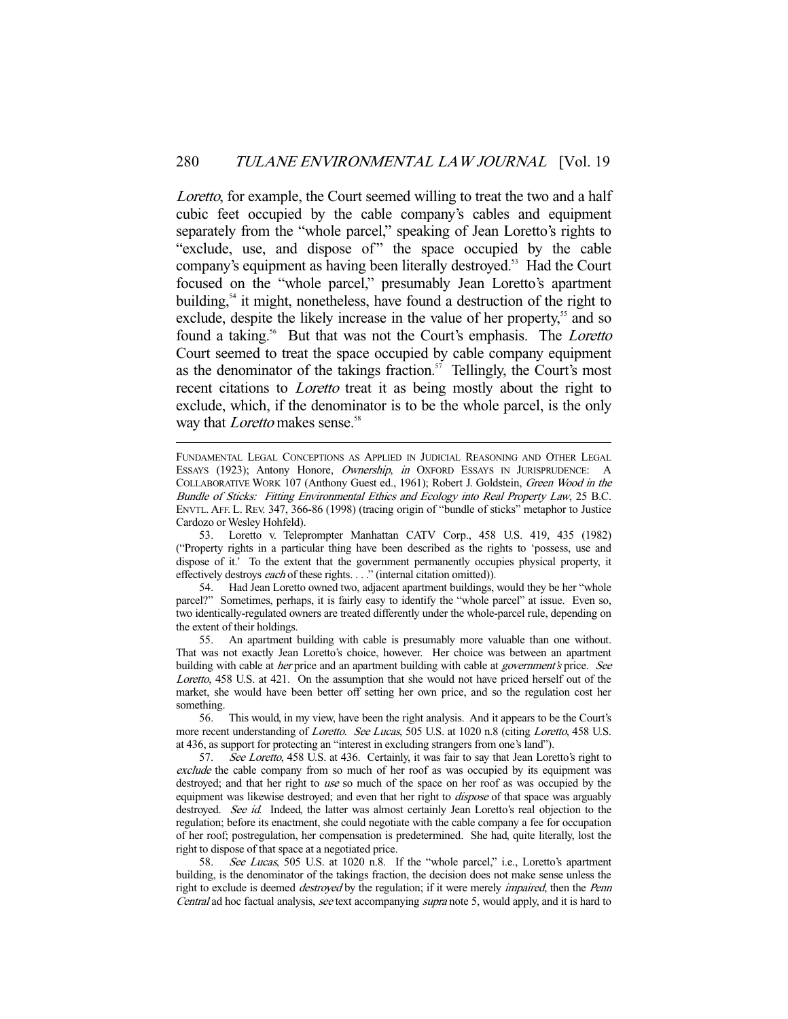Loretto, for example, the Court seemed willing to treat the two and a half cubic feet occupied by the cable company's cables and equipment separately from the "whole parcel," speaking of Jean Loretto's rights to "exclude, use, and dispose of" the space occupied by the cable company's equipment as having been literally destroyed.<sup>53</sup> Had the Court focused on the "whole parcel," presumably Jean Loretto's apartment building,<sup>54</sup> it might, nonetheless, have found a destruction of the right to exclude, despite the likely increase in the value of her property,<sup>55</sup> and so found a taking.<sup>56</sup> But that was not the Court's emphasis. The *Loretto* Court seemed to treat the space occupied by cable company equipment as the denominator of the takings fraction.<sup>57</sup> Tellingly, the Court's most recent citations to *Loretto* treat it as being mostly about the right to exclude, which, if the denominator is to be the whole parcel, is the only way that *Loretto* makes sense.<sup>58</sup>

FUNDAMENTAL LEGAL CONCEPTIONS AS APPLIED IN JUDICIAL REASONING AND OTHER LEGAL ESSAYS (1923); Antony Honore, Ownership, in OXFORD ESSAYS IN JURISPRUDENCE: A COLLABORATIVE WORK 107 (Anthony Guest ed., 1961); Robert J. Goldstein, Green Wood in the Bundle of Sticks: Fitting Environmental Ethics and Ecology into Real Property Law, 25 B.C. ENVTL. AFF. L. REV. 347, 366-86 (1998) (tracing origin of "bundle of sticks" metaphor to Justice Cardozo or Wesley Hohfeld).

-

 53. Loretto v. Teleprompter Manhattan CATV Corp., 458 U.S. 419, 435 (1982) ("Property rights in a particular thing have been described as the rights to 'possess, use and dispose of it.' To the extent that the government permanently occupies physical property, it effectively destroys *each* of these rights. . . . " (internal citation omitted)).

 54. Had Jean Loretto owned two, adjacent apartment buildings, would they be her "whole parcel?" Sometimes, perhaps, it is fairly easy to identify the "whole parcel" at issue. Even so, two identically-regulated owners are treated differently under the whole-parcel rule, depending on the extent of their holdings.

 55. An apartment building with cable is presumably more valuable than one without. That was not exactly Jean Loretto's choice, however. Her choice was between an apartment building with cable at *her* price and an apartment building with cable at *government's* price. See Loretto, 458 U.S. at 421. On the assumption that she would not have priced herself out of the market, she would have been better off setting her own price, and so the regulation cost her something.

 56. This would, in my view, have been the right analysis. And it appears to be the Court's more recent understanding of *Loretto. See Lucas*, 505 U.S. at 1020 n.8 (citing *Loretto*, 458 U.S. at 436, as support for protecting an "interest in excluding strangers from one's land").

 57. See Loretto, 458 U.S. at 436. Certainly, it was fair to say that Jean Loretto's right to exclude the cable company from so much of her roof as was occupied by its equipment was destroyed; and that her right to use so much of the space on her roof as was occupied by the equipment was likewise destroyed; and even that her right to *dispose* of that space was arguably destroyed. See id. Indeed, the latter was almost certainly Jean Loretto's real objection to the regulation; before its enactment, she could negotiate with the cable company a fee for occupation of her roof; postregulation, her compensation is predetermined. She had, quite literally, lost the right to dispose of that space at a negotiated price.

58. See Lucas, 505 U.S. at 1020 n.8. If the "whole parcel," i.e., Loretto's apartment building, is the denominator of the takings fraction, the decision does not make sense unless the right to exclude is deemed *destroyed* by the regulation; if it were merely *impaired*, then the Penn Central ad hoc factual analysis, see text accompanying supra note 5, would apply, and it is hard to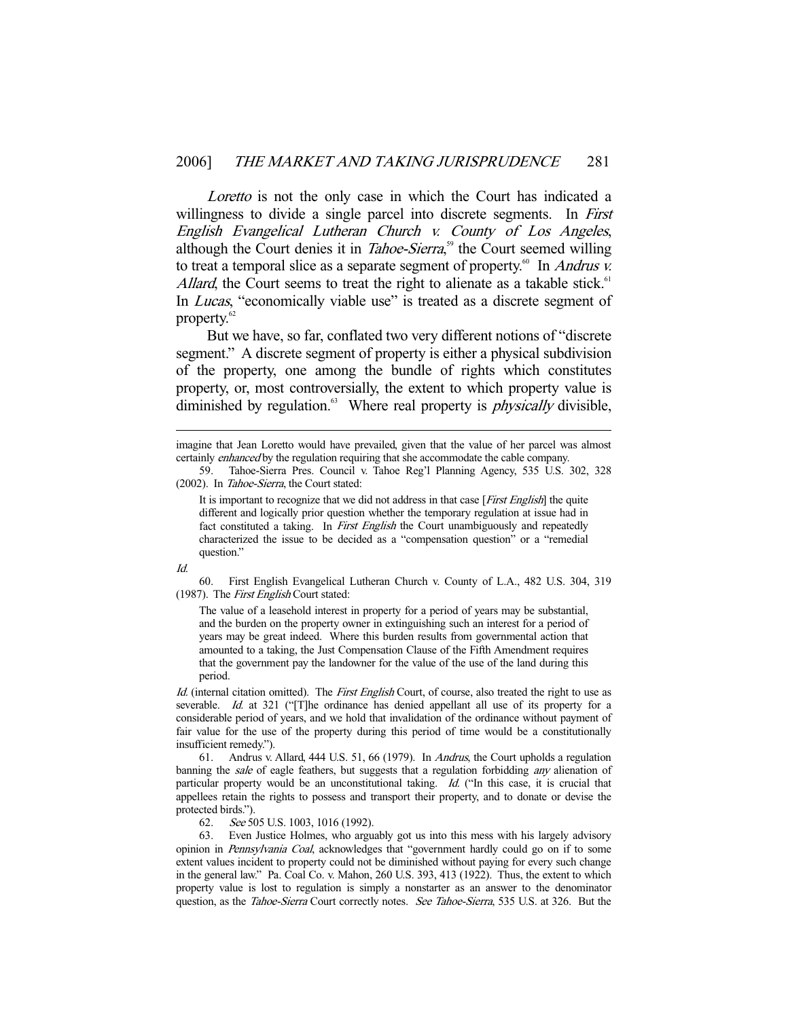Loretto is not the only case in which the Court has indicated a willingness to divide a single parcel into discrete segments. In *First* English Evangelical Lutheran Church v. County of Los Angeles, although the Court denies it in *Tahoe-Sierra*,<sup>59</sup> the Court seemed willing to treat a temporal slice as a separate segment of property.<sup>60</sup> In *Andrus v.* Allard, the Court seems to treat the right to alienate as a takable stick.<sup>61</sup> In *Lucas*, "economically viable use" is treated as a discrete segment of property.<sup>62</sup>

 But we have, so far, conflated two very different notions of "discrete segment." A discrete segment of property is either a physical subdivision of the property, one among the bundle of rights which constitutes property, or, most controversially, the extent to which property value is diminished by regulation. $63$  Where real property is *physically* divisible,

It is important to recognize that we did not address in that case [*First English*] the quite different and logically prior question whether the temporary regulation at issue had in fact constituted a taking. In *First English* the Court unambiguously and repeatedly characterized the issue to be decided as a "compensation question" or a "remedial question."

Id.

-

 60. First English Evangelical Lutheran Church v. County of L.A., 482 U.S. 304, 319 (1987). The First English Court stated:

The value of a leasehold interest in property for a period of years may be substantial, and the burden on the property owner in extinguishing such an interest for a period of years may be great indeed. Where this burden results from governmental action that amounted to a taking, the Just Compensation Clause of the Fifth Amendment requires that the government pay the landowner for the value of the use of the land during this period.

Id. (internal citation omitted). The First English Court, of course, also treated the right to use as severable. Id. at 321 ("[T]he ordinance has denied appellant all use of its property for a considerable period of years, and we hold that invalidation of the ordinance without payment of fair value for the use of the property during this period of time would be a constitutionally insufficient remedy.").

 61. Andrus v. Allard, 444 U.S. 51, 66 (1979). In Andrus, the Court upholds a regulation banning the sale of eagle feathers, but suggests that a regulation forbidding any alienation of particular property would be an unconstitutional taking. Id. ("In this case, it is crucial that appellees retain the rights to possess and transport their property, and to donate or devise the protected birds.").

62. See 505 U.S. 1003, 1016 (1992).

 63. Even Justice Holmes, who arguably got us into this mess with his largely advisory opinion in Pennsylvania Coal, acknowledges that "government hardly could go on if to some extent values incident to property could not be diminished without paying for every such change in the general law." Pa. Coal Co. v. Mahon, 260 U.S. 393, 413 (1922). Thus, the extent to which property value is lost to regulation is simply a nonstarter as an answer to the denominator question, as the *Tahoe-Sierra* Court correctly notes. See Tahoe-Sierra, 535 U.S. at 326. But the

imagine that Jean Loretto would have prevailed, given that the value of her parcel was almost certainly enhanced by the regulation requiring that she accommodate the cable company.

 <sup>59.</sup> Tahoe-Sierra Pres. Council v. Tahoe Reg'l Planning Agency, 535 U.S. 302, 328 (2002). In Tahoe-Sierra, the Court stated: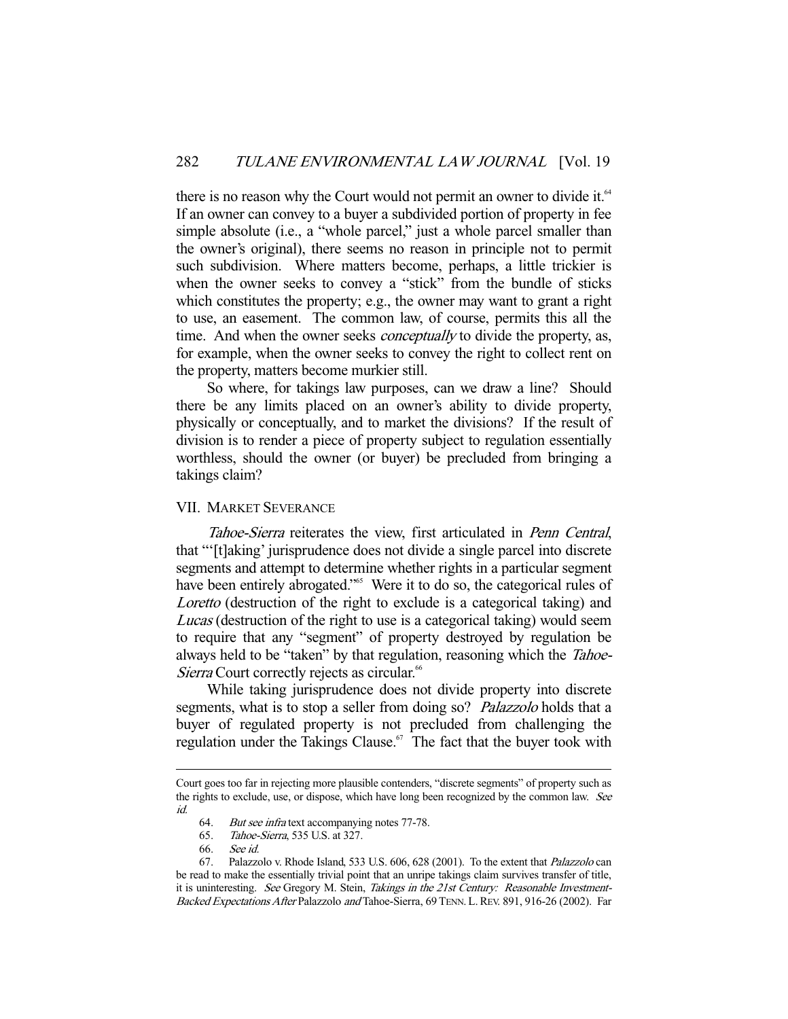there is no reason why the Court would not permit an owner to divide it.<sup>64</sup> If an owner can convey to a buyer a subdivided portion of property in fee simple absolute (i.e., a "whole parcel," just a whole parcel smaller than the owner's original), there seems no reason in principle not to permit such subdivision. Where matters become, perhaps, a little trickier is when the owner seeks to convey a "stick" from the bundle of sticks which constitutes the property; e.g., the owner may want to grant a right to use, an easement. The common law, of course, permits this all the time. And when the owner seeks *conceptually* to divide the property, as, for example, when the owner seeks to convey the right to collect rent on the property, matters become murkier still.

 So where, for takings law purposes, can we draw a line? Should there be any limits placed on an owner's ability to divide property, physically or conceptually, and to market the divisions? If the result of division is to render a piece of property subject to regulation essentially worthless, should the owner (or buyer) be precluded from bringing a takings claim?

## VII. MARKET SEVERANCE

Tahoe-Sierra reiterates the view, first articulated in Penn Central, that "'[t]aking' jurisprudence does not divide a single parcel into discrete segments and attempt to determine whether rights in a particular segment have been entirely abrogated."<sup>65</sup> Were it to do so, the categorical rules of Loretto (destruction of the right to exclude is a categorical taking) and Lucas (destruction of the right to use is a categorical taking) would seem to require that any "segment" of property destroyed by regulation be always held to be "taken" by that regulation, reasoning which the Tahoe-Sierra Court correctly rejects as circular.<sup>66</sup>

 While taking jurisprudence does not divide property into discrete segments, what is to stop a seller from doing so? Palazzolo holds that a buyer of regulated property is not precluded from challenging the regulation under the Takings Clause. $67$  The fact that the buyer took with

Court goes too far in rejecting more plausible contenders, "discrete segments" of property such as the rights to exclude, use, or dispose, which have long been recognized by the common law. See id.

<sup>64.</sup> But see infratext accompanying notes 77-78.

 <sup>65.</sup> Tahoe-Sierra, 535 U.S. at 327.

 <sup>66.</sup> See id.

 <sup>67.</sup> Palazzolo v. Rhode Island, 533 U.S. 606, 628 (2001). To the extent that Palazzolo can be read to make the essentially trivial point that an unripe takings claim survives transfer of title, it is uninteresting. See Gregory M. Stein, Takings in the 21st Century: Reasonable Investment-Backed Expectations After Palazzolo and Tahoe-Sierra, 69 TENN. L. REV. 891, 916-26 (2002). Far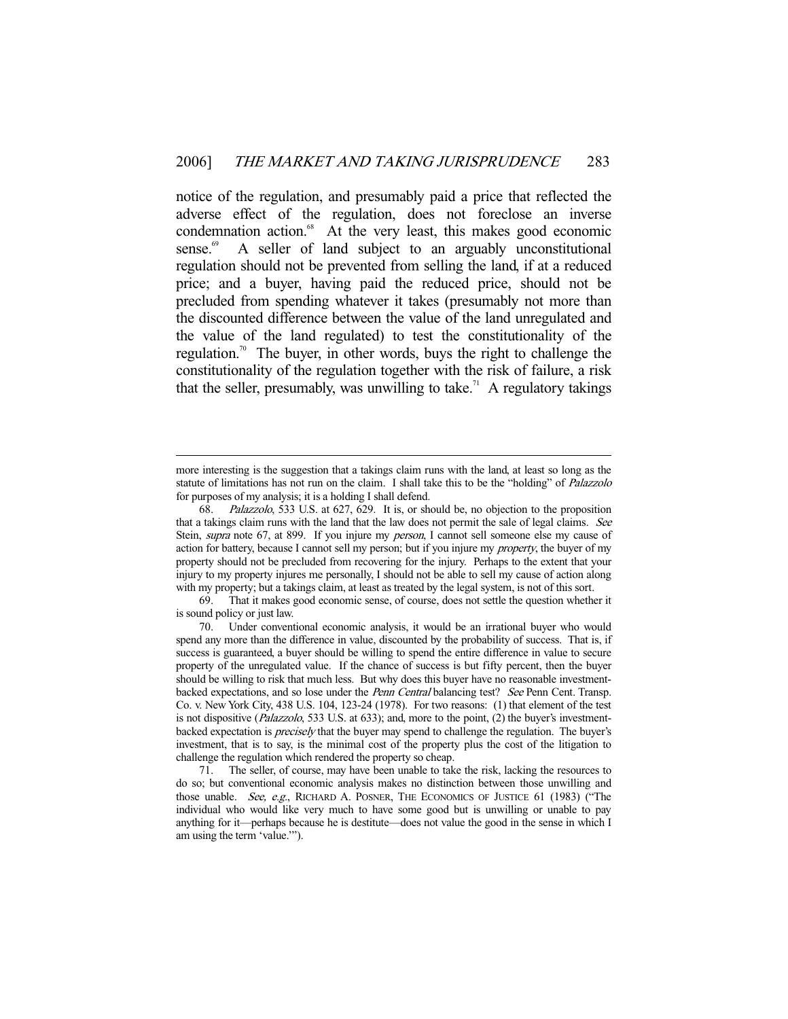notice of the regulation, and presumably paid a price that reflected the adverse effect of the regulation, does not foreclose an inverse condemnation action.<sup>68</sup> At the very least, this makes good economic sense. $\degree$  A seller of land subject to an arguably unconstitutional regulation should not be prevented from selling the land, if at a reduced price; and a buyer, having paid the reduced price, should not be precluded from spending whatever it takes (presumably not more than the discounted difference between the value of the land unregulated and the value of the land regulated) to test the constitutionality of the regulation.<sup>70</sup> The buyer, in other words, buys the right to challenge the constitutionality of the regulation together with the risk of failure, a risk that the seller, presumably, was unwilling to take.<sup>71</sup> A regulatory takings

more interesting is the suggestion that a takings claim runs with the land, at least so long as the statute of limitations has not run on the claim. I shall take this to be the "holding" of *Palazzolo* for purposes of my analysis; it is a holding I shall defend.

 <sup>68.</sup> Palazzolo, 533 U.S. at 627, 629. It is, or should be, no objection to the proposition that a takings claim runs with the land that the law does not permit the sale of legal claims. See Stein, supra note 67, at 899. If you injure my person, I cannot sell someone else my cause of action for battery, because I cannot sell my person; but if you injure my *property*, the buyer of my property should not be precluded from recovering for the injury. Perhaps to the extent that your injury to my property injures me personally, I should not be able to sell my cause of action along with my property; but a takings claim, at least as treated by the legal system, is not of this sort.

 <sup>69.</sup> That it makes good economic sense, of course, does not settle the question whether it is sound policy or just law.

 <sup>70.</sup> Under conventional economic analysis, it would be an irrational buyer who would spend any more than the difference in value, discounted by the probability of success. That is, if success is guaranteed, a buyer should be willing to spend the entire difference in value to secure property of the unregulated value. If the chance of success is but fifty percent, then the buyer should be willing to risk that much less. But why does this buyer have no reasonable investmentbacked expectations, and so lose under the *Penn Central* balancing test? See Penn Cent. Transp. Co. v. New York City, 438 U.S. 104, 123-24 (1978). For two reasons: (1) that element of the test is not dispositive (*Palazzolo*, 533 U.S. at 633); and, more to the point, (2) the buyer's investmentbacked expectation is *precisely* that the buyer may spend to challenge the regulation. The buyer's investment, that is to say, is the minimal cost of the property plus the cost of the litigation to challenge the regulation which rendered the property so cheap.

 <sup>71.</sup> The seller, of course, may have been unable to take the risk, lacking the resources to do so; but conventional economic analysis makes no distinction between those unwilling and those unable. See, e.g., RICHARD A. POSNER, THE ECONOMICS OF JUSTICE 61 (1983) ("The individual who would like very much to have some good but is unwilling or unable to pay anything for it—perhaps because he is destitute—does not value the good in the sense in which I am using the term 'value.'").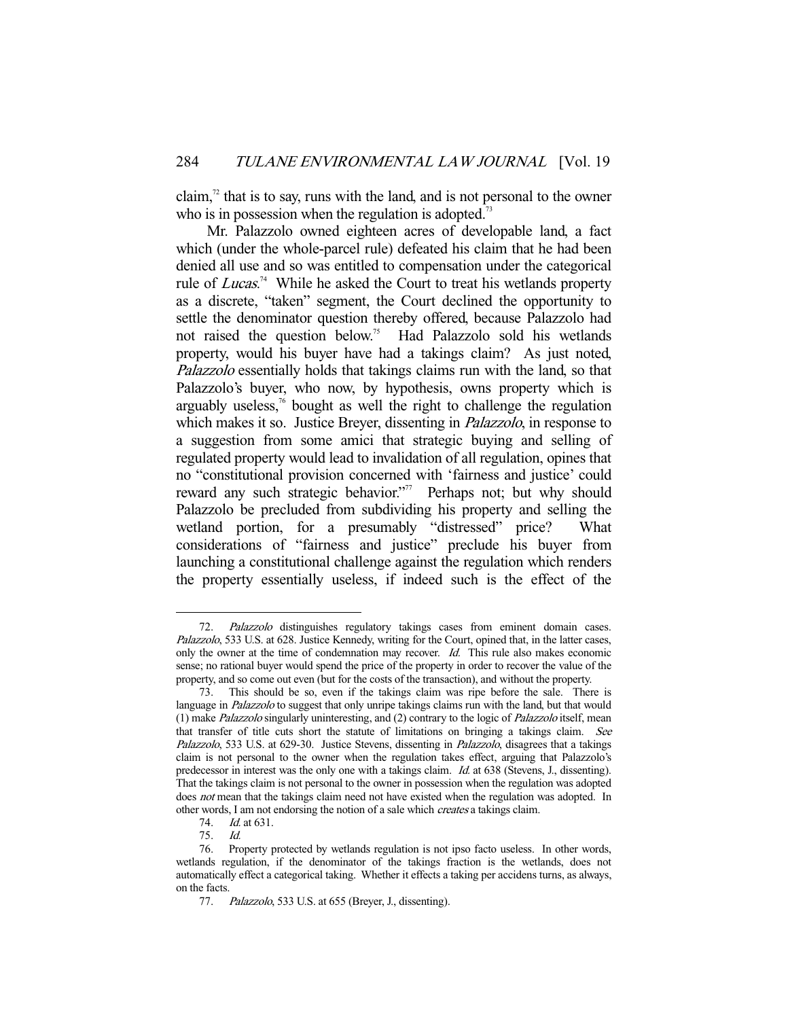claim, $\frac{7}{2}$  that is to say, runs with the land, and is not personal to the owner who is in possession when the regulation is adopted.<sup>73</sup>

 Mr. Palazzolo owned eighteen acres of developable land, a fact which (under the whole-parcel rule) defeated his claim that he had been denied all use and so was entitled to compensation under the categorical rule of *Lucas*.<sup>74</sup> While he asked the Court to treat his wetlands property as a discrete, "taken" segment, the Court declined the opportunity to settle the denominator question thereby offered, because Palazzolo had not raised the question below.<sup>75</sup> Had Palazzolo sold his wetlands property, would his buyer have had a takings claim? As just noted, Palazzolo essentially holds that takings claims run with the land, so that Palazzolo's buyer, who now, by hypothesis, owns property which is arguably useless, $<sup>76</sup>$  bought as well the right to challenge the regulation</sup> which makes it so. Justice Breyer, dissenting in *Palazzolo*, in response to a suggestion from some amici that strategic buying and selling of regulated property would lead to invalidation of all regulation, opines that no "constitutional provision concerned with 'fairness and justice' could reward any such strategic behavior."<sup>77</sup> Perhaps not; but why should Palazzolo be precluded from subdividing his property and selling the wetland portion, for a presumably "distressed" price? What considerations of "fairness and justice" preclude his buyer from launching a constitutional challenge against the regulation which renders the property essentially useless, if indeed such is the effect of the

<sup>72.</sup> Palazzolo distinguishes regulatory takings cases from eminent domain cases. Palazzolo, 533 U.S. at 628. Justice Kennedy, writing for the Court, opined that, in the latter cases, only the owner at the time of condemnation may recover. Id. This rule also makes economic sense; no rational buyer would spend the price of the property in order to recover the value of the property, and so come out even (but for the costs of the transaction), and without the property.

 <sup>73.</sup> This should be so, even if the takings claim was ripe before the sale. There is language in *Palazzolo* to suggest that only unripe takings claims run with the land, but that would (1) make Palazzolo singularly uninteresting, and (2) contrary to the logic of Palazzolo itself, mean that transfer of title cuts short the statute of limitations on bringing a takings claim. See Palazzolo, 533 U.S. at 629-30. Justice Stevens, dissenting in Palazzolo, disagrees that a takings claim is not personal to the owner when the regulation takes effect, arguing that Palazzolo's predecessor in interest was the only one with a takings claim. Id. at 638 (Stevens, J., dissenting). That the takings claim is not personal to the owner in possession when the regulation was adopted does not mean that the takings claim need not have existed when the regulation was adopted. In other words, I am not endorsing the notion of a sale which creates a takings claim.

 <sup>74.</sup> Id. at 631.

 <sup>75.</sup> Id.

 <sup>76.</sup> Property protected by wetlands regulation is not ipso facto useless. In other words, wetlands regulation, if the denominator of the takings fraction is the wetlands, does not automatically effect a categorical taking. Whether it effects a taking per accidens turns, as always, on the facts.

 <sup>77.</sup> Palazzolo, 533 U.S. at 655 (Breyer, J., dissenting).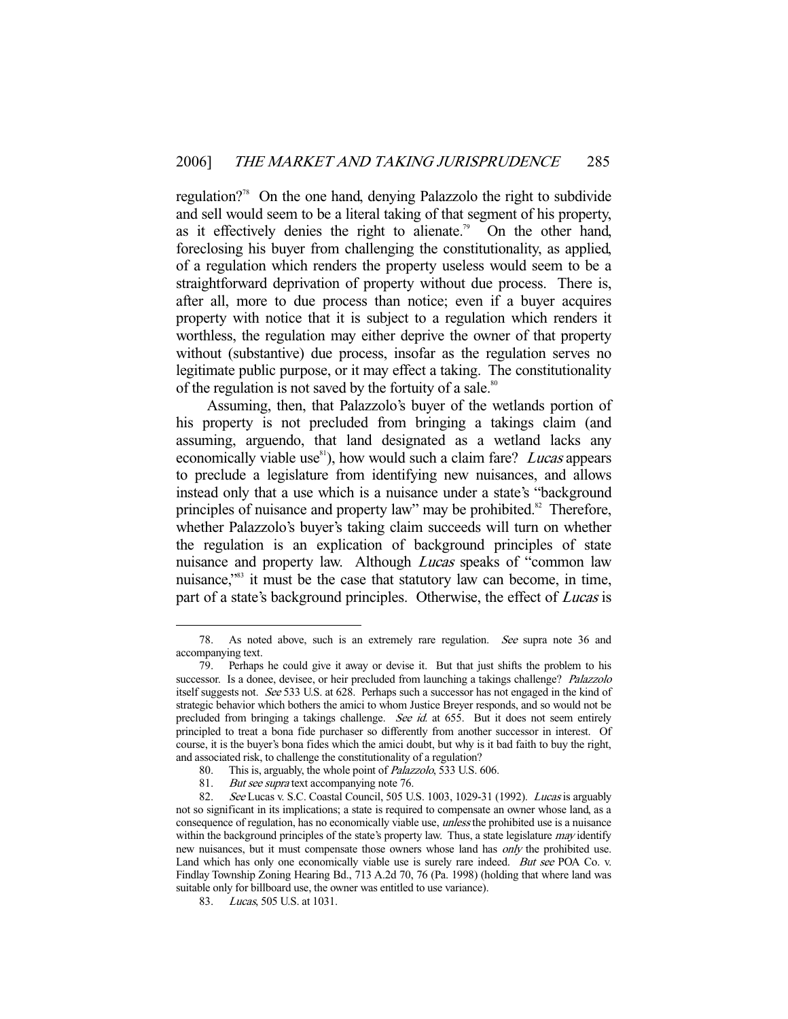regulation?78 On the one hand, denying Palazzolo the right to subdivide and sell would seem to be a literal taking of that segment of his property, as it effectively denies the right to alienate.<sup>79</sup> On the other hand, foreclosing his buyer from challenging the constitutionality, as applied, of a regulation which renders the property useless would seem to be a straightforward deprivation of property without due process. There is, after all, more to due process than notice; even if a buyer acquires property with notice that it is subject to a regulation which renders it worthless, the regulation may either deprive the owner of that property without (substantive) due process, insofar as the regulation serves no legitimate public purpose, or it may effect a taking. The constitutionality of the regulation is not saved by the fortuity of a sale.<sup>80</sup>

 Assuming, then, that Palazzolo's buyer of the wetlands portion of his property is not precluded from bringing a takings claim (and assuming, arguendo, that land designated as a wetland lacks any economically viable use<sup>81</sup>), how would such a claim fare? *Lucas* appears to preclude a legislature from identifying new nuisances, and allows instead only that a use which is a nuisance under a state's "background principles of nuisance and property law" may be prohibited. $82$  Therefore, whether Palazzolo's buyer's taking claim succeeds will turn on whether the regulation is an explication of background principles of state nuisance and property law. Although *Lucas* speaks of "common law nuisance,"83 it must be the case that statutory law can become, in time, part of a state's background principles. Otherwise, the effect of *Lucas* is

 <sup>78.</sup> As noted above, such is an extremely rare regulation. See supra note 36 and accompanying text.

 <sup>79.</sup> Perhaps he could give it away or devise it. But that just shifts the problem to his successor. Is a donee, devisee, or heir precluded from launching a takings challenge? Palazzolo itself suggests not. See 533 U.S. at 628. Perhaps such a successor has not engaged in the kind of strategic behavior which bothers the amici to whom Justice Breyer responds, and so would not be precluded from bringing a takings challenge. See id. at 655. But it does not seem entirely principled to treat a bona fide purchaser so differently from another successor in interest. Of course, it is the buyer's bona fides which the amici doubt, but why is it bad faith to buy the right, and associated risk, to challenge the constitutionality of a regulation?

 <sup>80.</sup> This is, arguably, the whole point of Palazzolo, 533 U.S. 606.

<sup>81.</sup> But see supra text accompanying note 76.<br>82. See Lucas v. S.C. Coastal Council, 505 U.

See Lucas v. S.C. Coastal Council, 505 U.S. 1003, 1029-31 (1992). Lucas is arguably not so significant in its implications; a state is required to compensate an owner whose land, as a consequence of regulation, has no economically viable use, *unless* the prohibited use is a nuisance within the background principles of the state's property law. Thus, a state legislature *may* identify new nuisances, but it must compensate those owners whose land has only the prohibited use. Land which has only one economically viable use is surely rare indeed. But see POA Co. v. Findlay Township Zoning Hearing Bd., 713 A.2d 70, 76 (Pa. 1998) (holding that where land was suitable only for billboard use, the owner was entitled to use variance).

 <sup>83.</sup> Lucas, 505 U.S. at 1031.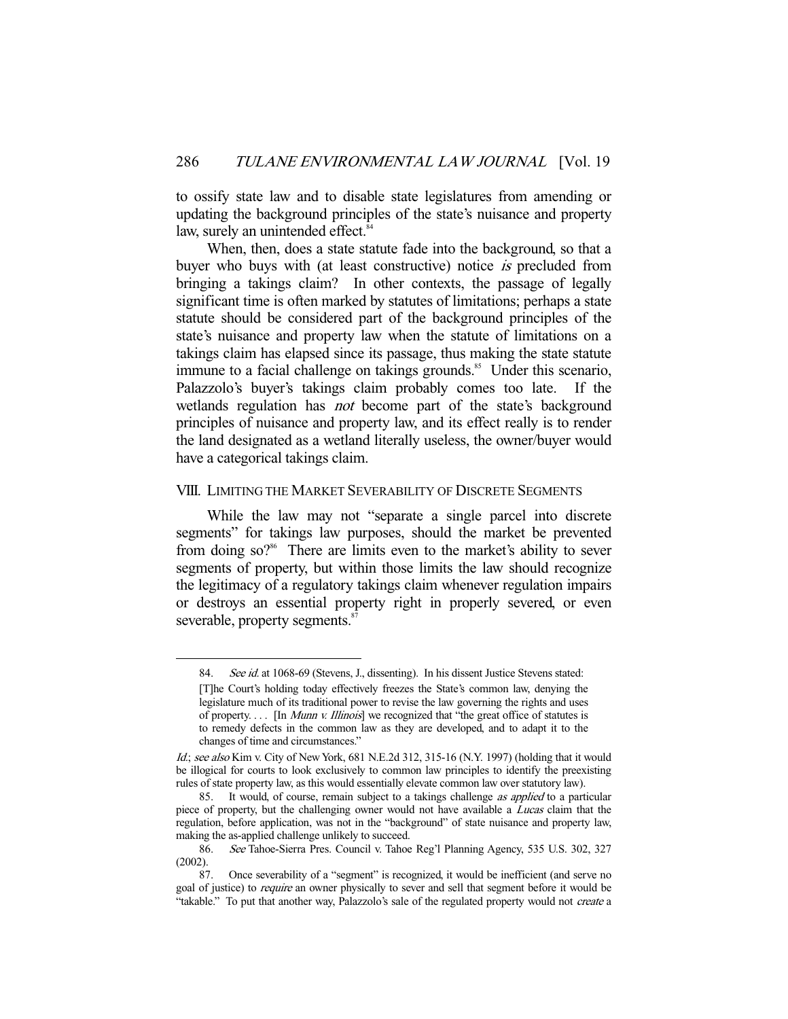to ossify state law and to disable state legislatures from amending or updating the background principles of the state's nuisance and property law, surely an unintended effect.<sup>84</sup>

 When, then, does a state statute fade into the background, so that a buyer who buys with (at least constructive) notice *is* precluded from bringing a takings claim? In other contexts, the passage of legally significant time is often marked by statutes of limitations; perhaps a state statute should be considered part of the background principles of the state's nuisance and property law when the statute of limitations on a takings claim has elapsed since its passage, thus making the state statute immune to a facial challenge on takings grounds.<sup>85</sup> Under this scenario, Palazzolo's buyer's takings claim probably comes too late. If the wetlands regulation has *not* become part of the state's background principles of nuisance and property law, and its effect really is to render the land designated as a wetland literally useless, the owner/buyer would have a categorical takings claim.

## VIII. LIMITING THE MARKET SEVERABILITY OF DISCRETE SEGMENTS

 While the law may not "separate a single parcel into discrete segments" for takings law purposes, should the market be prevented from doing so?<sup>86</sup> There are limits even to the market's ability to sever segments of property, but within those limits the law should recognize the legitimacy of a regulatory takings claim whenever regulation impairs or destroys an essential property right in properly severed, or even severable, property segments.<sup>87</sup>

<sup>84.</sup> See id. at 1068-69 (Stevens, J., dissenting). In his dissent Justice Stevens stated:

<sup>[</sup>T]he Court's holding today effectively freezes the State's common law, denying the legislature much of its traditional power to revise the law governing the rights and uses of property.... [In Munn v. Illinois] we recognized that "the great office of statutes is to remedy defects in the common law as they are developed, and to adapt it to the changes of time and circumstances."

Id.; see also Kim v. City of New York,  $681$  N.E.2d 312, 315-16 (N.Y. 1997) (holding that it would be illogical for courts to look exclusively to common law principles to identify the preexisting rules of state property law, as this would essentially elevate common law over statutory law).

<sup>85.</sup> It would, of course, remain subject to a takings challenge *as applied* to a particular piece of property, but the challenging owner would not have available a Lucas claim that the regulation, before application, was not in the "background" of state nuisance and property law, making the as-applied challenge unlikely to succeed.

 <sup>86.</sup> See Tahoe-Sierra Pres. Council v. Tahoe Reg'l Planning Agency, 535 U.S. 302, 327 (2002).

 <sup>87.</sup> Once severability of a "segment" is recognized, it would be inefficient (and serve no goal of justice) to *require* an owner physically to sever and sell that segment before it would be "takable." To put that another way, Palazzolo's sale of the regulated property would not create a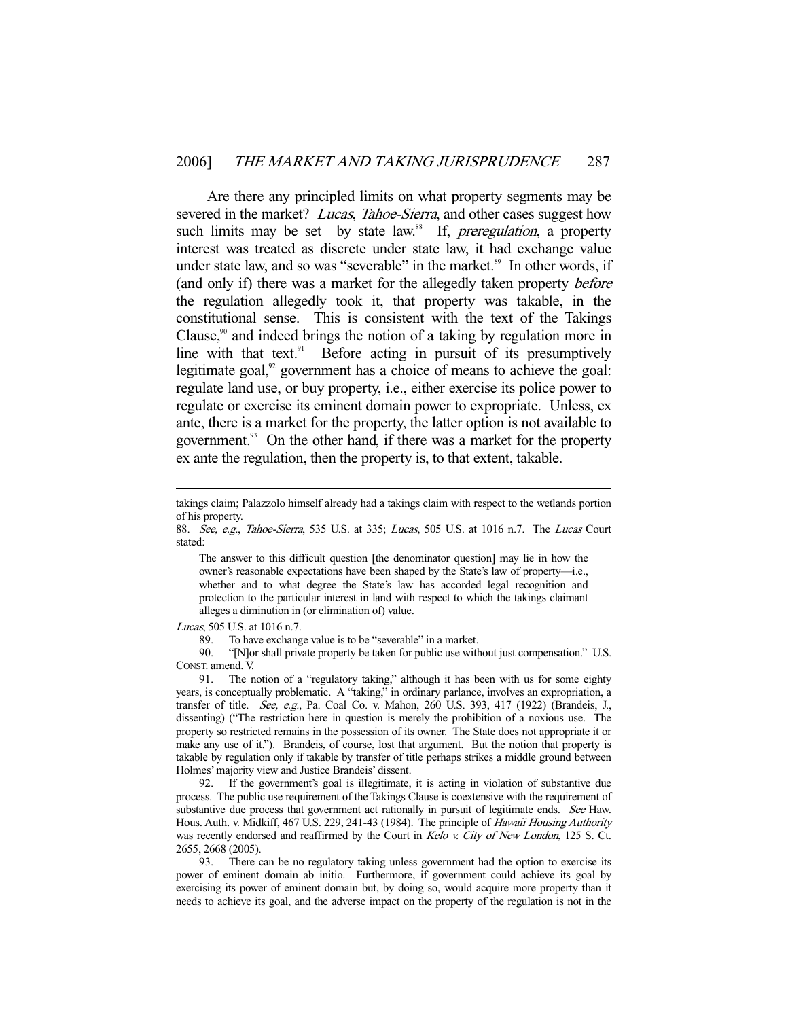Are there any principled limits on what property segments may be severed in the market? Lucas, Tahoe-Sierra, and other cases suggest how such limits may be set—by state law.<sup>88</sup> If, *preregulation*, a property interest was treated as discrete under state law, it had exchange value under state law, and so was "severable" in the market.<sup>89</sup> In other words, if (and only if) there was a market for the allegedly taken property before the regulation allegedly took it, that property was takable, in the constitutional sense. This is consistent with the text of the Takings Clause, $\alpha$ <sup>90</sup> and indeed brings the notion of a taking by regulation more in line with that text.<sup>91</sup> Before acting in pursuit of its presumptively legitimate goal, $92$  government has a choice of means to achieve the goal: regulate land use, or buy property, i.e., either exercise its police power to regulate or exercise its eminent domain power to expropriate. Unless, ex ante, there is a market for the property, the latter option is not available to government.<sup>93</sup> On the other hand, if there was a market for the property ex ante the regulation, then the property is, to that extent, takable.

The answer to this difficult question [the denominator question] may lie in how the owner's reasonable expectations have been shaped by the State's law of property—i.e., whether and to what degree the State's law has accorded legal recognition and protection to the particular interest in land with respect to which the takings claimant alleges a diminution in (or elimination of) value.

Lucas, 505 U.S. at 1016 n.7.

-

89. To have exchange value is to be "severable" in a market.

 90. "[N]or shall private property be taken for public use without just compensation." U.S. CONST. amend. V.

 91. The notion of a "regulatory taking," although it has been with us for some eighty years, is conceptually problematic. A "taking," in ordinary parlance, involves an expropriation, a transfer of title. See, e.g., Pa. Coal Co. v. Mahon, 260 U.S. 393, 417 (1922) (Brandeis, J., dissenting) ("The restriction here in question is merely the prohibition of a noxious use. The property so restricted remains in the possession of its owner. The State does not appropriate it or make any use of it."). Brandeis, of course, lost that argument. But the notion that property is takable by regulation only if takable by transfer of title perhaps strikes a middle ground between Holmes' majority view and Justice Brandeis' dissent.

 92. If the government's goal is illegitimate, it is acting in violation of substantive due process. The public use requirement of the Takings Clause is coextensive with the requirement of substantive due process that government act rationally in pursuit of legitimate ends. See Haw. Hous. Auth. v. Midkiff, 467 U.S. 229, 241-43 (1984). The principle of Hawaii Housing Authority was recently endorsed and reaffirmed by the Court in Kelo v. City of New London, 125 S. Ct. 2655, 2668 (2005).

 93. There can be no regulatory taking unless government had the option to exercise its power of eminent domain ab initio. Furthermore, if government could achieve its goal by exercising its power of eminent domain but, by doing so, would acquire more property than it needs to achieve its goal, and the adverse impact on the property of the regulation is not in the

takings claim; Palazzolo himself already had a takings claim with respect to the wetlands portion of his property.

<sup>88.</sup> See, e.g., Tahoe-Sierra, 535 U.S. at 335; Lucas, 505 U.S. at 1016 n.7. The Lucas Court stated: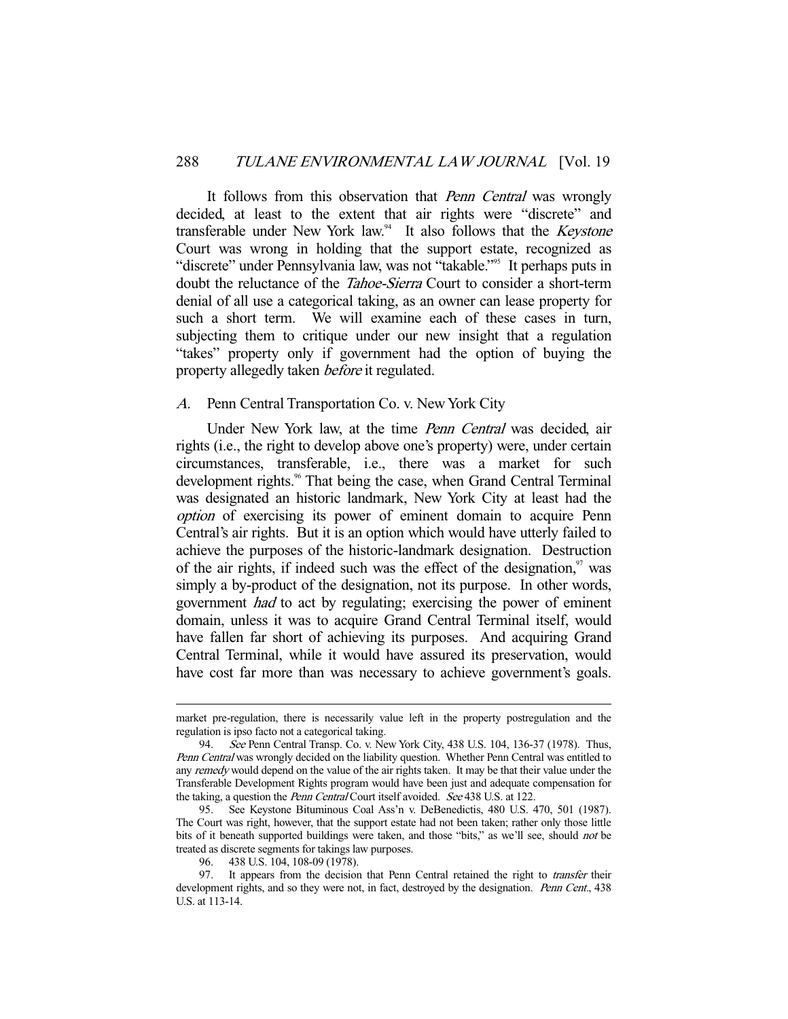It follows from this observation that *Penn Central* was wrongly decided, at least to the extent that air rights were "discrete" and transferable under New York law.<sup>94</sup> It also follows that the *Keystone* Court was wrong in holding that the support estate, recognized as "discrete" under Pennsylvania law, was not "takable."<sup>95</sup> It perhaps puts in doubt the reluctance of the Tahoe-Sierra Court to consider a short-term denial of all use a categorical taking, as an owner can lease property for such a short term. We will examine each of these cases in turn, subjecting them to critique under our new insight that a regulation "takes" property only if government had the option of buying the property allegedly taken before it regulated.

## A. Penn Central Transportation Co. v. New York City

Under New York law, at the time *Penn Central* was decided, air rights (i.e., the right to develop above one's property) were, under certain circumstances, transferable, i.e., there was a market for such development rights.<sup>96</sup> That being the case, when Grand Central Terminal was designated an historic landmark, New York City at least had the option of exercising its power of eminent domain to acquire Penn Central's air rights. But it is an option which would have utterly failed to achieve the purposes of the historic-landmark designation. Destruction of the air rights, if indeed such was the effect of the designation, $\frac{97}{10}$  was simply a by-product of the designation, not its purpose. In other words, government had to act by regulating; exercising the power of eminent domain, unless it was to acquire Grand Central Terminal itself, would have fallen far short of achieving its purposes. And acquiring Grand Central Terminal, while it would have assured its preservation, would have cost far more than was necessary to achieve government's goals.

market pre-regulation, there is necessarily value left in the property postregulation and the regulation is ipso facto not a categorical taking.

 <sup>94.</sup> See Penn Central Transp. Co. v. New York City, 438 U.S. 104, 136-37 (1978). Thus, Penn Central was wrongly decided on the liability question. Whether Penn Central was entitled to any remedy would depend on the value of the air rights taken. It may be that their value under the Transferable Development Rights program would have been just and adequate compensation for the taking, a question the *Penn Central* Court itself avoided. See 438 U.S. at 122.

 <sup>95.</sup> See Keystone Bituminous Coal Ass'n v. DeBenedictis, 480 U.S. 470, 501 (1987). The Court was right, however, that the support estate had not been taken; rather only those little bits of it beneath supported buildings were taken, and those "bits," as we'll see, should not be treated as discrete segments for takings law purposes.

 <sup>96. 438</sup> U.S. 104, 108-09 (1978).

<sup>97.</sup> It appears from the decision that Penn Central retained the right to *transfer* their development rights, and so they were not, in fact, destroyed by the designation. Penn Cent., 438 U.S. at 113-14.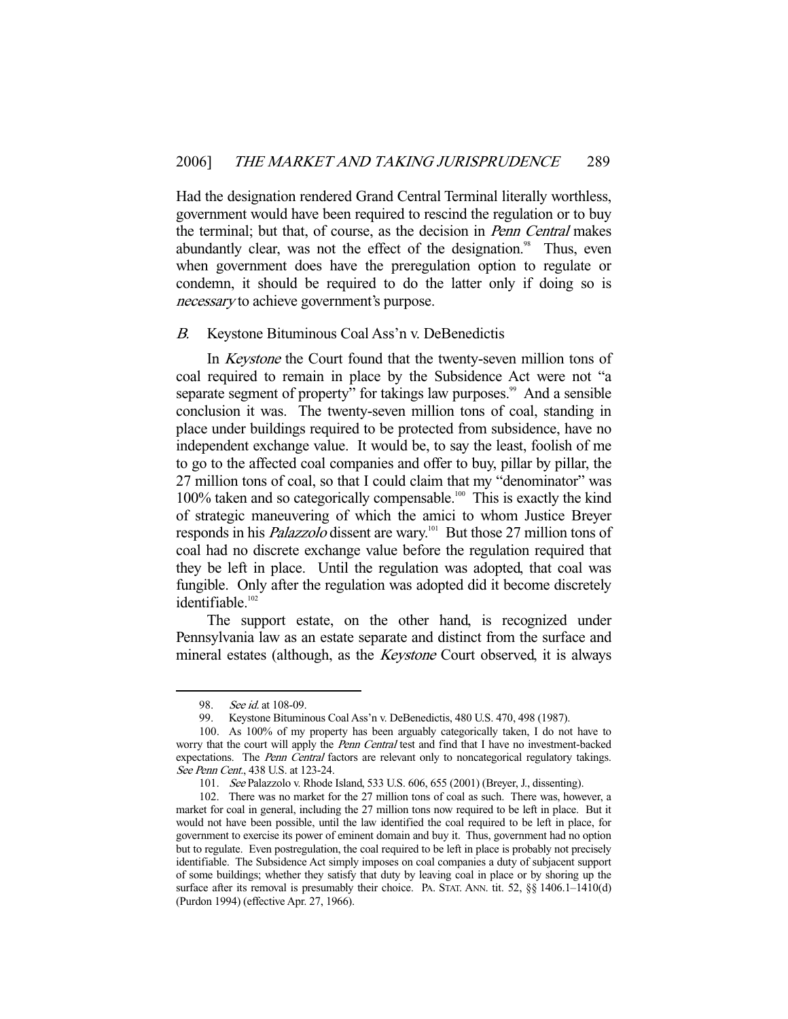Had the designation rendered Grand Central Terminal literally worthless, government would have been required to rescind the regulation or to buy the terminal; but that, of course, as the decision in Penn Central makes abundantly clear, was not the effect of the designation.<sup>98</sup> Thus, even when government does have the preregulation option to regulate or condemn, it should be required to do the latter only if doing so is necessary to achieve government's purpose.

## B. Keystone Bituminous Coal Ass'n v. DeBenedictis

 In Keystone the Court found that the twenty-seven million tons of coal required to remain in place by the Subsidence Act were not "a separate segment of property" for takings law purposes.<sup>99</sup> And a sensible conclusion it was. The twenty-seven million tons of coal, standing in place under buildings required to be protected from subsidence, have no independent exchange value. It would be, to say the least, foolish of me to go to the affected coal companies and offer to buy, pillar by pillar, the 27 million tons of coal, so that I could claim that my "denominator" was  $100\%$  taken and so categorically compensable.<sup>100</sup> This is exactly the kind of strategic maneuvering of which the amici to whom Justice Breyer responds in his *Palazzolo* dissent are wary.<sup>101</sup> But those 27 million tons of coal had no discrete exchange value before the regulation required that they be left in place. Until the regulation was adopted, that coal was fungible. Only after the regulation was adopted did it become discretely identifiable.<sup>102</sup>

 The support estate, on the other hand, is recognized under Pennsylvania law as an estate separate and distinct from the surface and mineral estates (although, as the *Keystone* Court observed, it is always

<sup>98.</sup> See id. at 108-09.

 <sup>99.</sup> Keystone Bituminous Coal Ass'n v. DeBenedictis, 480 U.S. 470, 498 (1987).

 <sup>100.</sup> As 100% of my property has been arguably categorically taken, I do not have to worry that the court will apply the *Penn Central* test and find that I have no investment-backed expectations. The *Penn Central* factors are relevant only to noncategorical regulatory takings. See Penn Cent., 438 U.S. at 123-24.

 <sup>101.</sup> See Palazzolo v. Rhode Island, 533 U.S. 606, 655 (2001) (Breyer, J., dissenting).

 <sup>102.</sup> There was no market for the 27 million tons of coal as such. There was, however, a market for coal in general, including the 27 million tons now required to be left in place. But it would not have been possible, until the law identified the coal required to be left in place, for government to exercise its power of eminent domain and buy it. Thus, government had no option but to regulate. Even postregulation, the coal required to be left in place is probably not precisely identifiable. The Subsidence Act simply imposes on coal companies a duty of subjacent support of some buildings; whether they satisfy that duty by leaving coal in place or by shoring up the surface after its removal is presumably their choice. PA. STAT. ANN. tit. 52, §§ 1406.1-1410(d) (Purdon 1994) (effective Apr. 27, 1966).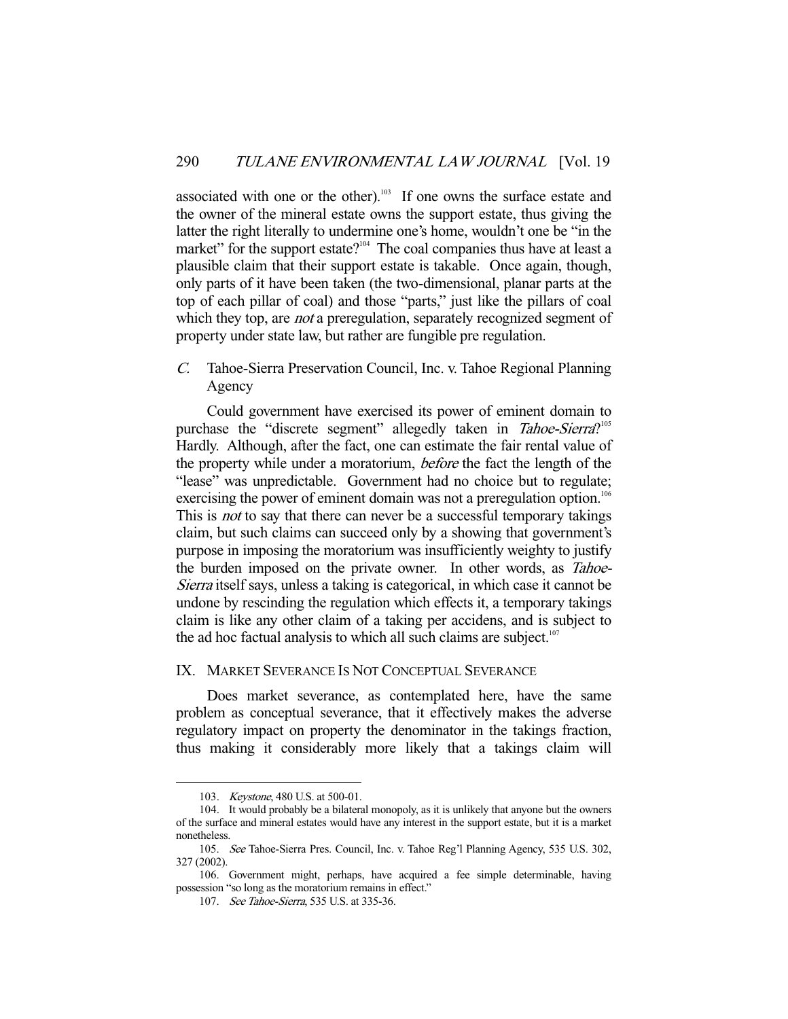associated with one or the other).<sup>103</sup> If one owns the surface estate and the owner of the mineral estate owns the support estate, thus giving the latter the right literally to undermine one's home, wouldn't one be "in the market" for the support estate?<sup>104</sup> The coal companies thus have at least a plausible claim that their support estate is takable. Once again, though, only parts of it have been taken (the two-dimensional, planar parts at the top of each pillar of coal) and those "parts," just like the pillars of coal which they top, are *not* a preregulation, separately recognized segment of property under state law, but rather are fungible pre regulation.

C. Tahoe-Sierra Preservation Council, Inc. v. Tahoe Regional Planning Agency

 Could government have exercised its power of eminent domain to purchase the "discrete segment" allegedly taken in Tahoe-Sierra?<sup>105</sup> Hardly. Although, after the fact, one can estimate the fair rental value of the property while under a moratorium, before the fact the length of the "lease" was unpredictable. Government had no choice but to regulate; exercising the power of eminent domain was not a preregulation option.<sup>106</sup> This is *not* to say that there can never be a successful temporary takings claim, but such claims can succeed only by a showing that government's purpose in imposing the moratorium was insufficiently weighty to justify the burden imposed on the private owner. In other words, as Tahoe-Sierra itself says, unless a taking is categorical, in which case it cannot be undone by rescinding the regulation which effects it, a temporary takings claim is like any other claim of a taking per accidens, and is subject to the ad hoc factual analysis to which all such claims are subject.<sup>107</sup>

## IX. MARKET SEVERANCE IS NOT CONCEPTUAL SEVERANCE

 Does market severance, as contemplated here, have the same problem as conceptual severance, that it effectively makes the adverse regulatory impact on property the denominator in the takings fraction, thus making it considerably more likely that a takings claim will

 <sup>103.</sup> Keystone, 480 U.S. at 500-01.

 <sup>104.</sup> It would probably be a bilateral monopoly, as it is unlikely that anyone but the owners of the surface and mineral estates would have any interest in the support estate, but it is a market nonetheless.

 <sup>105.</sup> See Tahoe-Sierra Pres. Council, Inc. v. Tahoe Reg'l Planning Agency, 535 U.S. 302, 327 (2002).

 <sup>106.</sup> Government might, perhaps, have acquired a fee simple determinable, having possession "so long as the moratorium remains in effect."

<sup>107.</sup> See Tahoe-Sierra, 535 U.S. at 335-36.